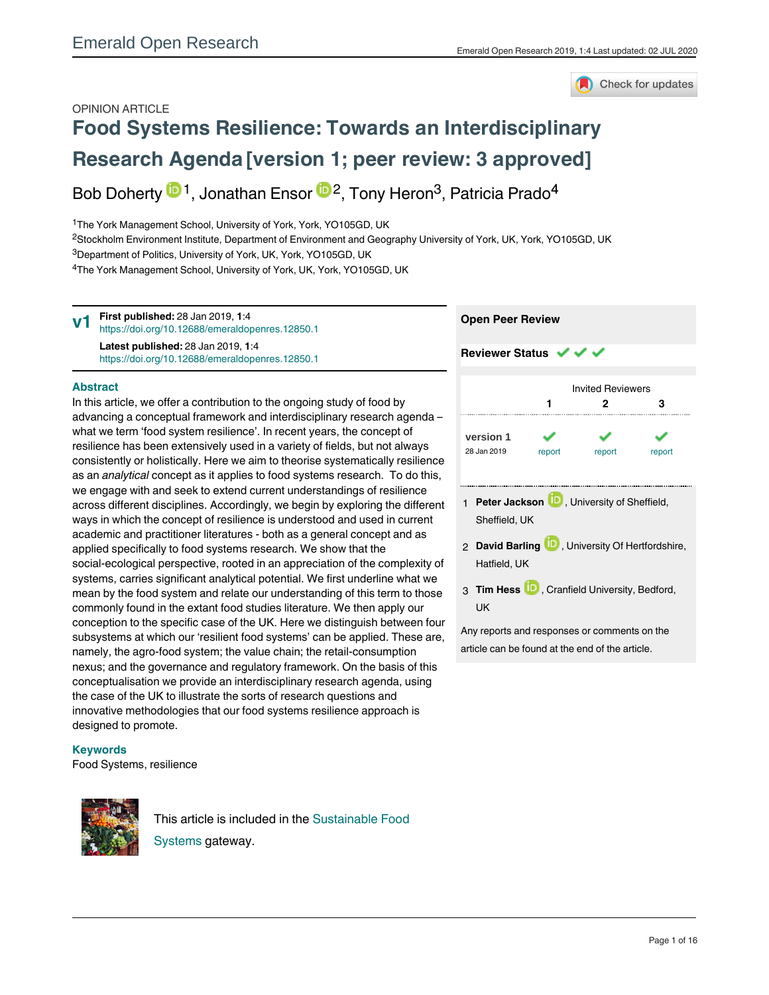

# OPINION ARTICLE **[Food Systems Resilience: Towards an Interdisciplinary](https://emeraldopenresearch.com/articles/1-4/v1) [Research Agenda](https://emeraldopenresearch.com/articles/1-4/v1) [version 1; peer review: 3 approved]**

Bob Doherty  $\mathbf{D}^1$ , Jonathan Ensor  $\mathbf{D}^2$ , Tony Heron<sup>3</sup>, Patricia Prado<sup>4</sup>

<sup>1</sup>The York Management School, University of York, York, YO105GD, UK

<sup>2</sup>Stockholm Environment Institute, Department of Environment and Geography University of York, UK, York, YO105GD, UK <sup>3</sup>Department of Politics, University of York, UK, York, YO105GD, UK

<sup>4</sup>The York Management School, University of York, UK, York, YO105GD, UK

**First published:** 28 Jan 2019, **1**:4 <https://doi.org/10.12688/emeraldopenres.12850.1> **Latest published:** 28 Jan 2019, **1**:4 <https://doi.org/10.12688/emeraldopenres.12850.1> **v1**

# **Abstract**

In this article, we offer a contribution to the ongoing study of food by advancing a conceptual framework and interdisciplinary research agenda – what we term 'food system resilience'. In recent years, the concept of resilience has been extensively used in a variety of fields, but not always consistently or holistically. Here we aim to theorise systematically resilience as an *analytical* concept as it applies to food systems research. To do this, we engage with and seek to extend current understandings of resilience across different disciplines. Accordingly, we begin by exploring the different ways in which the concept of resilience is understood and used in current academic and practitioner literatures - both as a general concept and as applied specifically to food systems research. We show that the social-ecological perspective, rooted in an appreciation of the complexity of systems, carries significant analytical potential. We first underline what we mean by the food system and relate our understanding of this term to those commonly found in the extant food studies literature. We then apply our conception to the specific case of the UK. Here we distinguish between four subsystems at which our 'resilient food systems' can be applied. These are, namely, the agro-food system; the value chain; the retail-consumption nexus; and the governance and regulatory framework. On the basis of this conceptualisation we provide an interdisciplinary research agenda, using the case of the UK to illustrate the sorts of research questions and innovative methodologies that our food systems resilience approach is designed to promote.

# **Keywords**

Food Systems, resilience



This article is included in the [Sustainable Food](https://emeraldopenresearch.com/gateways/sustainablefoodsystems) [Systems](https://emeraldopenresearch.com/gateways/sustainablefoodsystems) gateway.



**Open Peer Review**

- 1 **Peter Jackson UP**, University of Sheffield, Sheffield, UK
- 2 **David Barling U.**, University Of Hertfordshire, Hatfield, UK
- 3 Tim Hess **UD**, Cranfield University, Bedford, UK

Any reports and responses or comments on the article can be found at the end of the article.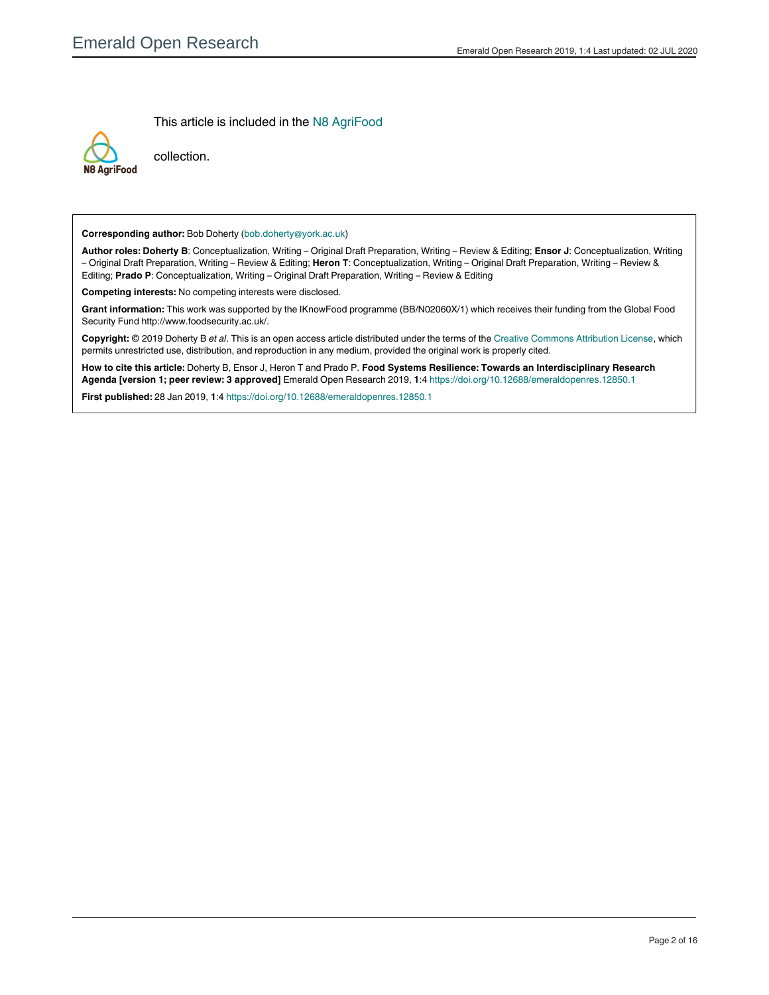This article is included in the [N8 AgriFood](https://emeraldopenresearch.com/collections/n8agrifood)



collection.

**Corresponding author:** Bob Doherty (bob.doherty@york.ac.uk)

**Author roles: Doherty B**: Conceptualization, Writing – Original Draft Preparation, Writing – Review & Editing; **Ensor J**: Conceptualization, Writing – Original Draft Preparation, Writing – Review & Editing; **Heron T**: Conceptualization, Writing – Original Draft Preparation, Writing – Review & Editing; **Prado P**: Conceptualization, Writing – Original Draft Preparation, Writing – Review & Editing

**Competing interests:** No competing interests were disclosed.

**Grant information:** This work was supported by the IKnowFood programme (BB/N02060X/1) which receives their funding from the Global Food Security Fund http://www.foodsecurity.ac.uk/.

**Copyright:** © 2019 Doherty B *et al*. This is an open access article distributed under the terms of the [Creative Commons Attribution License](http://creativecommons.org/licenses/by/4.0/), which permits unrestricted use, distribution, and reproduction in any medium, provided the original work is properly cited.

**How to cite this article:** Doherty B, Ensor J, Heron T and Prado P. **Food Systems Resilience: Towards an Interdisciplinary Research Agenda [version 1; peer review: 3 approved]** Emerald Open Research 2019, **1**:4<https://doi.org/10.12688/emeraldopenres.12850.1>

**First published:** 28 Jan 2019, **1**:4<https://doi.org/10.12688/emeraldopenres.12850.1>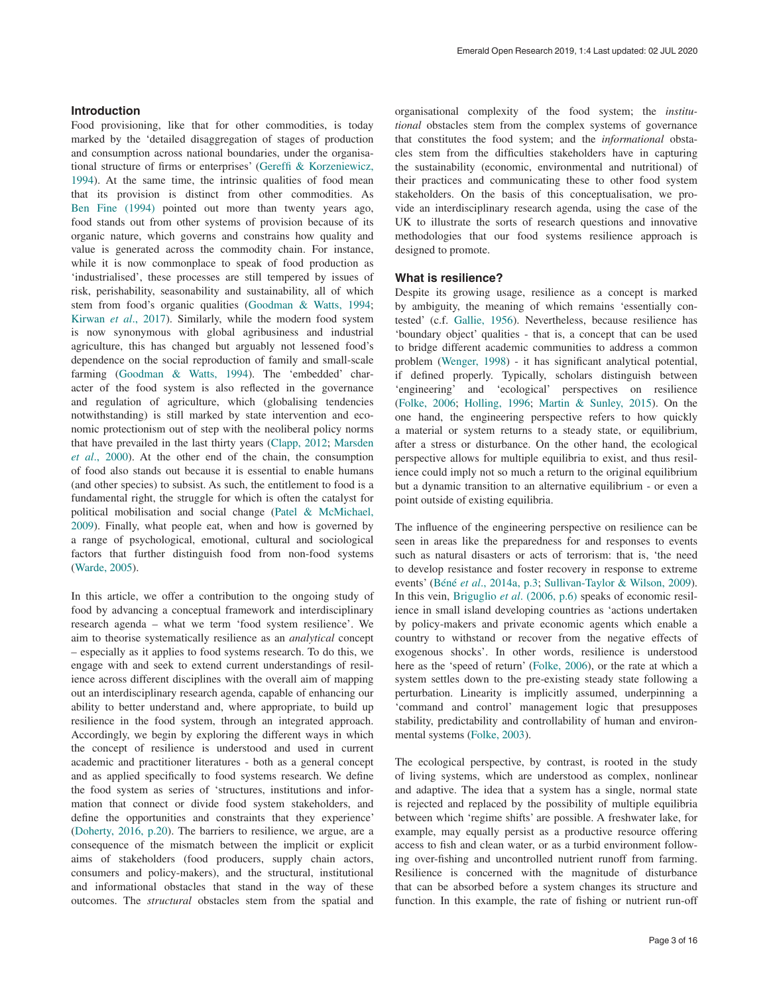# **Introduction**

Food provisioning, like that for other commodities, is today marked by the 'detailed disaggregation of stages of production and consumption across national boundaries, under the organisational structure of firms or enterprises' ([Gereffi & Korzeniewicz,](#page-9-0) [1994\)](#page-9-0). At the same time, the intrinsic qualities of food mean that its provision is distinct from other commodities. As [Ben Fine \(1994\)](#page-8-0) pointed out more than twenty years ago, food stands out from other systems of provision because of its organic nature, which governs and constrains how quality and value is generated across the commodity chain. For instance, while it is now commonplace to speak of food production as 'industrialised', these processes are still tempered by issues of risk, perishability, seasonability and sustainability, all of which stem from food's organic qualities ([Goodman & Watts, 1994](#page-9-0); [Kirwan](#page-9-0) *et al*., 2017). Similarly, while the modern food system is now synonymous with global agribusiness and industrial agriculture, this has changed but arguably not lessened food's dependence on the social reproduction of family and small-scale farming ([Goodman & Watts, 1994\)](#page-9-0). The 'embedded' character of the food system is also reflected in the governance and regulation of agriculture, which (globalising tendencies notwithstanding) is still marked by state intervention and economic protectionism out of step with the neoliberal policy norms that have prevailed in the last thirty years ([Clapp, 2012;](#page-8-0) [Marsden](#page-9-0)  *et al*[., 2000\)](#page-9-0). At the other end of the chain, the consumption of food also stands out because it is essential to enable humans (and other species) to subsist. As such, the entitlement to food is a fundamental right, the struggle for which is often the catalyst for political mobilisation and social change ([Patel & McMichael,](#page-9-0)  [2009\)](#page-9-0). Finally, what people eat, when and how is governed by a range of psychological, emotional, cultural and sociological factors that further distinguish food from non-food systems ([Warde, 2005](#page-10-0)).

In this article, we offer a contribution to the ongoing study of food by advancing a conceptual framework and interdisciplinary research agenda – what we term 'food system resilience'. We aim to theorise systematically resilience as an *analytical* concept – especially as it applies to food systems research. To do this, we engage with and seek to extend current understandings of resilience across different disciplines with the overall aim of mapping out an interdisciplinary research agenda, capable of enhancing our ability to better understand and, where appropriate, to build up resilience in the food system, through an integrated approach. Accordingly, we begin by exploring the different ways in which the concept of resilience is understood and used in current academic and practitioner literatures - both as a general concept and as applied specifically to food systems research. We define the food system as series of 'structures, institutions and information that connect or divide food system stakeholders, and define the opportunities and constraints that they experience' ([Doherty, 2016, p.20](#page-9-0)). The barriers to resilience, we argue, are a consequence of the mismatch between the implicit or explicit aims of stakeholders (food producers, supply chain actors, consumers and policy-makers), and the structural, institutional and informational obstacles that stand in the way of these outcomes. The *structural* obstacles stem from the spatial and

organisational complexity of the food system; the *institutional* obstacles stem from the complex systems of governance that constitutes the food system; and the *informational* obstacles stem from the difficulties stakeholders have in capturing the sustainability (economic, environmental and nutritional) of their practices and communicating these to other food system stakeholders. On the basis of this conceptualisation, we provide an interdisciplinary research agenda, using the case of the UK to illustrate the sorts of research questions and innovative methodologies that our food systems resilience approach is designed to promote.

### **What is resilience?**

Despite its growing usage, resilience as a concept is marked by ambiguity, the meaning of which remains 'essentially contested' (c.f. [Gallie, 1956\)](#page-9-0). Nevertheless, because resilience has 'boundary object' qualities - that is, a concept that can be used to bridge different academic communities to address a common problem ([Wenger, 1998](#page-10-0)) - it has significant analytical potential, if defined properly. Typically, scholars distinguish between 'engineering' and 'ecological' perspectives on resilience ([Folke, 2006;](#page-9-0) [Holling, 1996](#page-9-0); [Martin & Sunley, 2015](#page-9-0)). On the one hand, the engineering perspective refers to how quickly a material or system returns to a steady state, or equilibrium, after a stress or disturbance. On the other hand, the ecological perspective allows for multiple equilibria to exist, and thus resilience could imply not so much a return to the original equilibrium but a dynamic transition to an alternative equilibrium - or even a point outside of existing equilibria.

The influence of the engineering perspective on resilience can be seen in areas like the preparedness for and responses to events such as natural disasters or acts of terrorism: that is, 'the need to develop resistance and foster recovery in response to extreme events' (Béné *et al*[., 2014a, p.3;](#page-8-0) [Sullivan-Taylor & Wilson, 2009](#page-10-0)). In this vein, Briguglio *et al*[. \(2006, p.6\)](#page-8-0) speaks of economic resilience in small island developing countries as 'actions undertaken by policy-makers and private economic agents which enable a country to withstand or recover from the negative effects of exogenous shocks'. In other words, resilience is understood here as the 'speed of return' [\(Folke, 2006\)](#page-9-0), or the rate at which a system settles down to the pre-existing steady state following a perturbation. Linearity is implicitly assumed, underpinning a 'command and control' management logic that presupposes stability, predictability and controllability of human and environmental systems [\(Folke, 2003\)](#page-9-0).

The ecological perspective, by contrast, is rooted in the study of living systems, which are understood as complex, nonlinear and adaptive. The idea that a system has a single, normal state is rejected and replaced by the possibility of multiple equilibria between which 'regime shifts' are possible. A freshwater lake, for example, may equally persist as a productive resource offering access to fish and clean water, or as a turbid environment following over-fishing and uncontrolled nutrient runoff from farming. Resilience is concerned with the magnitude of disturbance that can be absorbed before a system changes its structure and function. In this example, the rate of fishing or nutrient run-off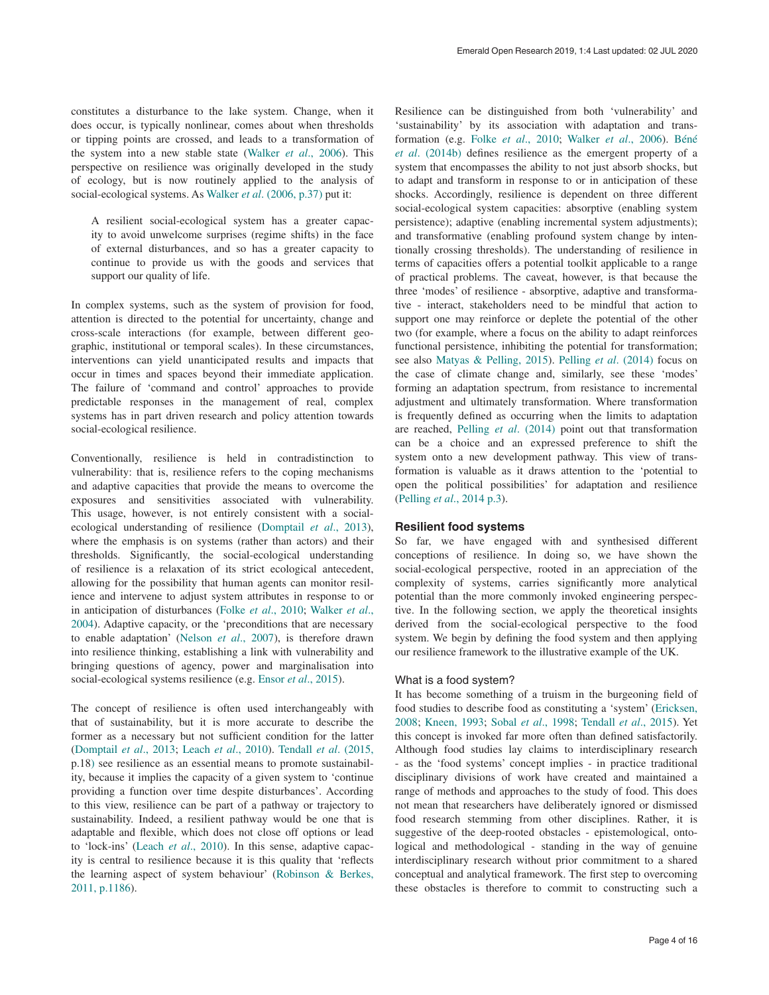constitutes a disturbance to the lake system. Change, when it does occur, is typically nonlinear, comes about when thresholds or tipping points are crossed, and leads to a transformation of the system into a new stable state (Walker *et al*[., 2006\).](#page-10-0) This perspective on resilience was originally developed in the study of ecology, but is now routinely applied to the analysis of social-ecological systems. As Walker *et al*[. \(2006, p.37\)](#page-10-0) put it:

A resilient social-ecological system has a greater capacity to avoid unwelcome surprises (regime shifts) in the face of external disturbances, and so has a greater capacity to continue to provide us with the goods and services that support our quality of life.

In complex systems, such as the system of provision for food, attention is directed to the potential for uncertainty, change and cross-scale interactions (for example, between different geographic, institutional or temporal scales). In these circumstances, interventions can yield unanticipated results and impacts that occur in times and spaces beyond their immediate application. The failure of 'command and control' approaches to provide predictable responses in the management of real, complex systems has in part driven research and policy attention towards social-ecological resilience.

Conventionally, resilience is held in contradistinction to vulnerability: that is, resilience refers to the coping mechanisms and adaptive capacities that provide the means to overcome the exposures and sensitivities associated with vulnerability. This usage, however, is not entirely consistent with a socialecological understanding of resilience [\(Domptail](#page-9-0) *et al*., 2013), where the emphasis is on systems (rather than actors) and their thresholds. Significantly, the social-ecological understanding of resilience is a relaxation of its strict ecological antecedent, allowing for the possibility that human agents can monitor resilience and intervene to adjust system attributes in response to or in anticipation of disturbances (Folke *et al*[., 2010;](#page-9-0) [Walker](#page-10-0) *et al*., [2004\)](#page-10-0). Adaptive capacity, or the 'preconditions that are necessary to enable adaptation' [\(Nelson](#page-9-0) *et al*., 2007), is therefore drawn into resilience thinking, establishing a link with vulnerability and bringing questions of agency, power and marginalisation into social-ecological systems resilience (e.g. Ensor *et al*[., 2015](#page-9-0)).

The concept of resilience is often used interchangeably with that of sustainability, but it is more accurate to describe the former as a necessary but not sufficient condition for the latter ([Domptail](#page-9-0) *et al*., 2013; Leach *et al*[., 2010](#page-9-0)). Tendall *et al*[. \(2015,](#page-10-0)  p.18) see resilience as an essential means to promote sustainability, because it implies the capacity of a given system to 'continue providing a function over time despite disturbances'. According to this view, resilience can be part of a pathway or trajectory to sustainability. Indeed, a resilient pathway would be one that is adaptable and flexible, which does not close off options or lead to 'lock-ins' (Leach *et al*[., 2010\)](#page-9-0). In this sense, adaptive capacity is central to resilience because it is this quality that 'reflects the learning aspect of system behaviour' [\(Robinson & Berkes](#page-10-0), [2011, p.1186\)](#page-10-0).

Resilience can be distinguished from both 'vulnerability' and 'sustainability' by its association with adaptation and transformation (e.g. Folke *et al*[., 2010](#page-9-0); [Walker](#page-10-0) *et al*., 2006). [Béné](#page-8-0)  *et al*[. \(2014b\)](#page-8-0) defines resilience as the emergent property of a system that encompasses the ability to not just absorb shocks, but to adapt and transform in response to or in anticipation of these shocks. Accordingly, resilience is dependent on three different social-ecological system capacities: absorptive (enabling system persistence); adaptive (enabling incremental system adjustments); and transformative (enabling profound system change by intentionally crossing thresholds). The understanding of resilience in terms of capacities offers a potential toolkit applicable to a range of practical problems. The caveat, however, is that because the three 'modes' of resilience - absorptive, adaptive and transformative - interact, stakeholders need to be mindful that action to support one may reinforce or deplete the potential of the other two (for example, where a focus on the ability to adapt reinforces functional persistence, inhibiting the potential for transformation; see also [Matyas & Pelling, 2015\)](#page-9-0). Pelling *et al*[. \(2014\)](#page-9-0) focus on the case of climate change and, similarly, see these 'modes' forming an adaptation spectrum, from resistance to incremental adjustment and ultimately transformation. Where transformation is frequently defined as occurring when the limits to adaptation are reached, Pelling *et al*[. \(2014\)](#page-9-0) point out that transformation can be a choice and an expressed preference to shift the system onto a new development pathway. This view of transformation is valuable as it draws attention to the 'potential to open the political possibilities' for adaptation and resilience (Pelling *et al*[., 2014 p.3](#page-9-0)).

# **Resilient food systems**

So far, we have engaged with and synthesised different conceptions of resilience. In doing so, we have shown the social-ecological perspective, rooted in an appreciation of the complexity of systems, carries significantly more analytical potential than the more commonly invoked engineering perspective. In the following section, we apply the theoretical insights derived from the social-ecological perspective to the food system. We begin by defining the food system and then applying our resilience framework to the illustrative example of the UK.

# What is a food system?

It has become something of a truism in the burgeoning field of food studies to describe food as constituting a 'system' ([Ericksen,](#page-9-0)  [2008;](#page-9-0) [Kneen, 1993;](#page-9-0) Sobal *et al*[., 1998;](#page-10-0) Tendall *et al*[., 2015\)](#page-10-0). Yet this concept is invoked far more often than defined satisfactorily. Although food studies lay claims to interdisciplinary research - as the 'food systems' concept implies - in practice traditional disciplinary divisions of work have created and maintained a range of methods and approaches to the study of food. This does not mean that researchers have deliberately ignored or dismissed food research stemming from other disciplines. Rather, it is suggestive of the deep-rooted obstacles - epistemological, ontological and methodological - standing in the way of genuine interdisciplinary research without prior commitment to a shared conceptual and analytical framework. The first step to overcoming these obstacles is therefore to commit to constructing such a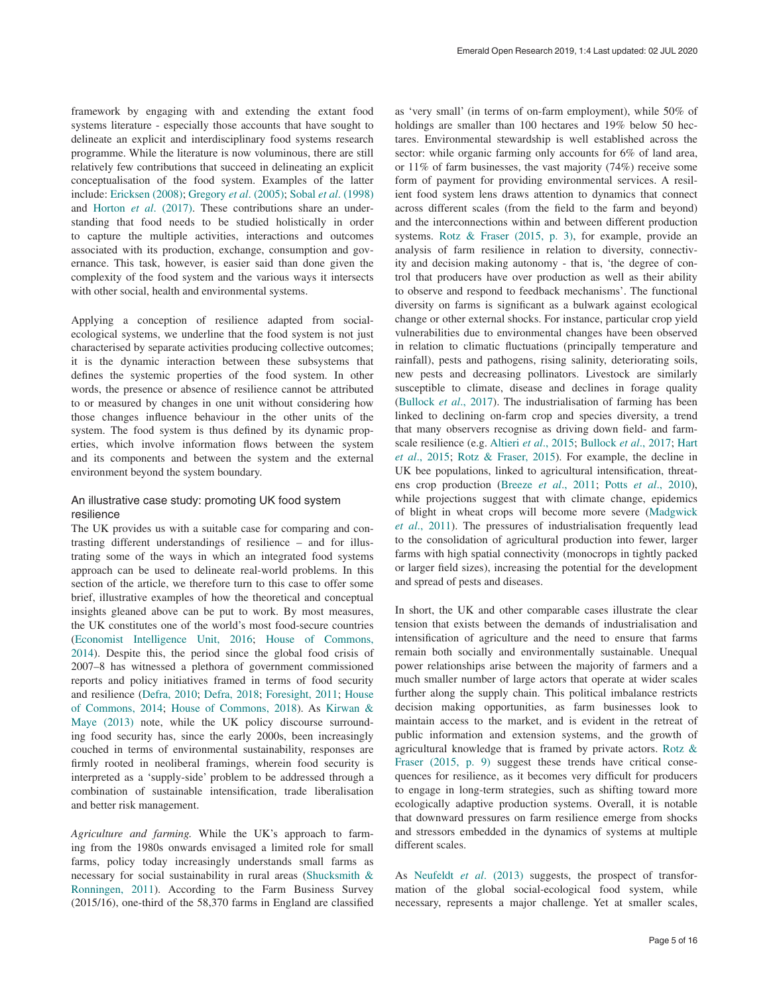framework by engaging with and extending the extant food systems literature - especially those accounts that have sought to delineate an explicit and interdisciplinary food systems research programme. While the literature is now voluminous, there are still relatively few contributions that succeed in delineating an explicit conceptualisation of the food system. Examples of the latter include: [Ericksen \(2008\); Gregory](#page-9-0) *et al*. (2005); Sobal *et al*[. \(1998\)](#page-10-0) and Horton *et al*[. \(2017\).](#page-9-0) These contributions share an understanding that food needs to be studied holistically in order to capture the multiple activities, interactions and outcomes associated with its production, exchange, consumption and governance. This task, however, is easier said than done given the complexity of the food system and the various ways it intersects with other social, health and environmental systems.

Applying a conception of resilience adapted from socialecological systems, we underline that the food system is not just characterised by separate activities producing collective outcomes; it is the dynamic interaction between these subsystems that defines the systemic properties of the food system. In other words, the presence or absence of resilience cannot be attributed to or measured by changes in one unit without considering how those changes influence behaviour in the other units of the system. The food system is thus defined by its dynamic properties, which involve information flows between the system and its components and between the system and the external environment beyond the system boundary.

# An illustrative case study: promoting UK food system resilience

The UK provides us with a suitable case for comparing and contrasting different understandings of resilience – and for illustrating some of the ways in which an integrated food systems approach can be used to delineate real-world problems. In this section of the article, we therefore turn to this case to offer some brief, illustrative examples of how the theoretical and conceptual insights gleaned above can be put to work. By most measures, the UK constitutes one of the world's most food-secure countries ([Economist Intelligence Unit, 2016](#page-9-0); [House of Commons,](#page-9-0)  [2014\)](#page-9-0). Despite this, the period since the global food crisis of 2007–8 has witnessed a plethora of government commissioned reports and policy initiatives framed in terms of food security and resilience [\(Defra, 2010; Defra, 2018](#page-8-0); [Foresight, 2011](#page-9-0); [House](#page-9-0)  [of Commons, 2014; House of Commons, 2018\)](#page-9-0). As [Kirwan &](#page-9-0)  [Maye \(2013\)](#page-9-0) note, while the UK policy discourse surrounding food security has, since the early 2000s, been increasingly couched in terms of environmental sustainability, responses are firmly rooted in neoliberal framings, wherein food security is interpreted as a 'supply-side' problem to be addressed through a combination of sustainable intensification, trade liberalisation and better risk management.

*Agriculture and farming.* While the UK's approach to farming from the 1980s onwards envisaged a limited role for small farms, policy today increasingly understands small farms as necessary for social sustainability in rural areas [\(Shucksmith &](#page-10-0)  [Ronningen, 2011\)](#page-10-0). According to the Farm Business Survey (2015/16), one-third of the 58,370 farms in England are classified

as 'very small' (in terms of on-farm employment), while 50% of holdings are smaller than 100 hectares and 19% below 50 hectares. Environmental stewardship is well established across the sector: while organic farming only accounts for 6% of land area, or 11% of farm businesses, the vast majority (74%) receive some form of payment for providing environmental services. A resilient food system lens draws attention to dynamics that connect across different scales (from the field to the farm and beyond) and the interconnections within and between different production systems. [Rotz & Fraser \(2015, p. 3\)](#page-10-0), for example, provide an analysis of farm resilience in relation to diversity, connectivity and decision making autonomy - that is, 'the degree of control that producers have over production as well as their ability to observe and respond to feedback mechanisms'. The functional diversity on farms is significant as a bulwark against ecological change or other external shocks. For instance, particular crop yield vulnerabilities due to environmental changes have been observed in relation to climatic fluctuations (principally temperature and rainfall), pests and pathogens, rising salinity, deteriorating soils, new pests and decreasing pollinators. Livestock are similarly susceptible to climate, disease and declines in forage quality ([Bullock](#page-8-0) *et al*., 2017). The industrialisation of farming has been linked to declining on-farm crop and species diversity, a trend that many observers recognise as driving down field- and farmscale resilience (e.g. [Altieri](#page-8-0) *et al*., 2015; [Bullock](#page-8-0) *et al*., 2017; [Hart](#page-9-0)  *et al*[., 2015](#page-9-0); [Rotz & Fraser, 2015](#page-10-0)). For example, the decline in UK bee populations, linked to agricultural intensification, threatens crop production (Breeze *et al*[., 2011;](#page-8-0) Potts *et al*[., 2010\),](#page-10-0)  while projections suggest that with climate change, epidemics of blight in wheat crops will become more severe [\(Madgwick](#page-9-0)  *et al*[., 2011](#page-9-0)). The pressures of industrialisation frequently lead to the consolidation of agricultural production into fewer, larger farms with high spatial connectivity (monocrops in tightly packed or larger field sizes), increasing the potential for the development and spread of pests and diseases.

In short, the UK and other comparable cases illustrate the clear tension that exists between the demands of industrialisation and intensification of agriculture and the need to ensure that farms remain both socially and environmentally sustainable. Unequal power relationships arise between the majority of farmers and a much smaller number of large actors that operate at wider scales further along the supply chain. This political imbalance restricts decision making opportunities, as farm businesses look to maintain access to the market, and is evident in the retreat of public information and extension systems, and the growth of agricultural knowledge that is framed by private actors. [Rotz &](#page-10-0)  [Fraser \(2015, p. 9\)](#page-10-0) suggest these trends have critical consequences for resilience, as it becomes very difficult for producers to engage in long-term strategies, such as shifting toward more ecologically adaptive production systems. Overall, it is notable that downward pressures on farm resilience emerge from shocks and stressors embedded in the dynamics of systems at multiple different scales.

As [Neufeldt](#page-9-0) *et al*. (2013) suggests, the prospect of transformation of the global social-ecological food system, while necessary, represents a major challenge. Yet at smaller scales,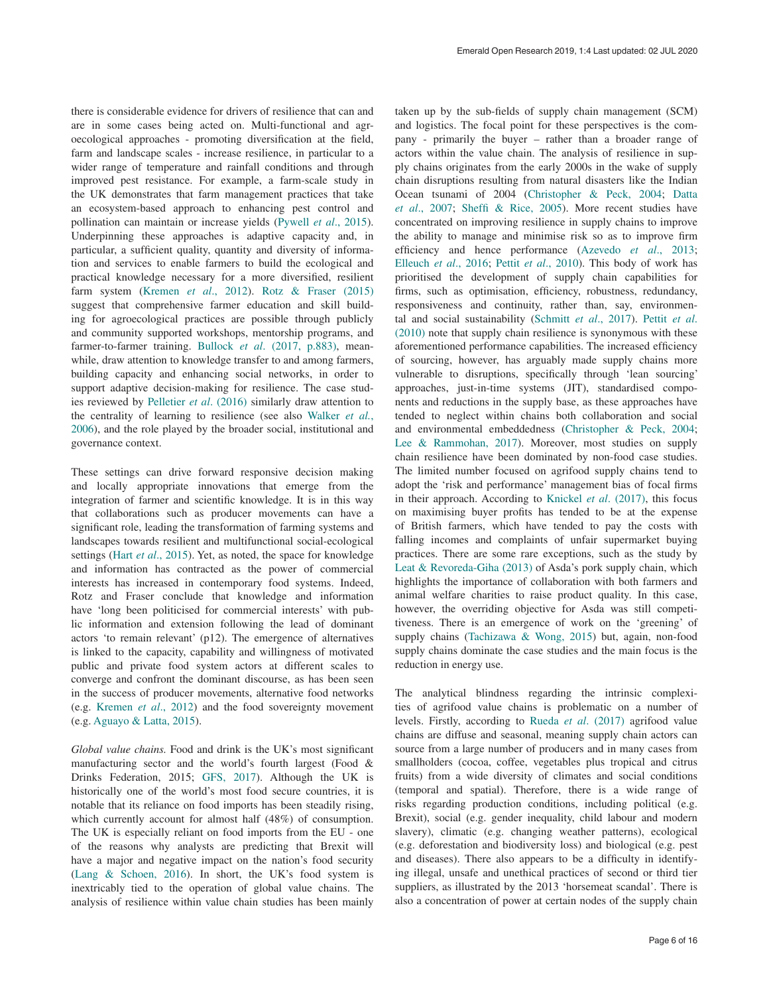there is considerable evidence for drivers of resilience that can and are in some cases being acted on. Multi-functional and agroecological approaches - promoting diversification at the field, farm and landscape scales - increase resilience, in particular to a wider range of temperature and rainfall conditions and through improved pest resistance. For example, a farm-scale study in the UK demonstrates that farm management practices that take an ecosystem-based approach to enhancing pest control and pollination can maintain or increase yields [\(Pywell](#page-10-0) *et al*., 2015). Underpinning these approaches is adaptive capacity and, in particular, a sufficient quality, quantity and diversity of information and services to enable farmers to build the ecological and practical knowledge necessary for a more diversified, resilient farm system ([Kremen](#page-9-0) *et al*., 2012). [Rotz & Fraser \(2015\)](#page-10-0) suggest that comprehensive farmer education and skill building for agroecological practices are possible through publicly and community supported workshops, mentorship programs, and farmer-to-farmer training. Bullock *et al*[. \(2017, p.883\),](#page-8-0) meanwhile, draw attention to knowledge transfer to and among farmers, building capacity and enhancing social networks, in order to support adaptive decision-making for resilience. The case studies reviewed by [Pelletier](#page-9-0) *et al*. (2016) similarly draw attention to the centrality of learning to resilience (see also [Walker](#page-10-0) *et al.*, [2006\)](#page-10-0), and the role played by the broader social, institutional and governance context.

These settings can drive forward responsive decision making and locally appropriate innovations that emerge from the integration of farmer and scientific knowledge. It is in this way that collaborations such as producer movements can have a significant role, leading the transformation of farming systems and landscapes towards resilient and multifunctional social-ecological settings (Hart *et al*[., 2015\)](#page-9-0). Yet, as noted, the space for knowledge and information has contracted as the power of commercial interests has increased in contemporary food systems. Indeed, Rotz and Fraser conclude that knowledge and information have 'long been politicised for commercial interests' with public information and extension following the lead of dominant actors 'to remain relevant' (p12). The emergence of alternatives is linked to the capacity, capability and willingness of motivated public and private food system actors at different scales to converge and confront the dominant discourse, as has been seen in the success of producer movements, alternative food networks (e.g. [Kremen](#page-9-0) *et al*., 2012) and the food sovereignty movement (e.g. [Aguayo & Latta, 2015](#page-8-0)).

*Global value chains.* Food and drink is the UK's most significant manufacturing sector and the world's fourth largest (Food & Drinks Federation, 2015; [GFS, 2017](#page-9-0)). Although the UK is historically one of the world's most food secure countries, it is notable that its reliance on food imports has been steadily rising, which currently account for almost half (48%) of consumption. The UK is especially reliant on food imports from the EU - one of the reasons why analysts are predicting that Brexit will have a major and negative impact on the nation's food security ([Lang & Schoen, 2016](#page-9-0)). In short, the UK's food system is inextricably tied to the operation of global value chains. The analysis of resilience within value chain studies has been mainly

taken up by the sub-fields of supply chain management (SCM) and logistics. The focal point for these perspectives is the company - primarily the buyer – rather than a broader range of actors within the value chain. The analysis of resilience in supply chains originates from the early 2000s in the wake of supply chain disruptions resulting from natural disasters like the Indian Ocean tsunami of 2004 [\(Christopher & Peck, 2004](#page-8-0); [Datta](#page-8-0)  *et al*[., 2007](#page-8-0); [Sheffi & Rice, 2005\)](#page-10-0). More recent studies have concentrated on improving resilience in supply chains to improve the ability to manage and minimise risk so as to improve firm efficiency and hence performance ([Azevedo](#page-8-0) *et al*., 2013; [Elleuch](#page-9-0) *et al*., 2016; Pettit *et al*[., 2010\)](#page-10-0). This body of work has prioritised the development of supply chain capabilities for firms, such as optimisation, efficiency, robustness, redundancy, responsiveness and continuity, rather than, say, environmental and social sustainability ([Schmitt](#page-10-0) *et al*., 2017). [Pettit](#page-10-0) *et al*. [\(2010\)](#page-10-0) note that supply chain resilience is synonymous with these aforementioned performance capabilities. The increased efficiency of sourcing, however, has arguably made supply chains more vulnerable to disruptions, specifically through 'lean sourcing' approaches, just-in-time systems (JIT), standardised components and reductions in the supply base, as these approaches have tended to neglect within chains both collaboration and social and environmental embeddedness [\(Christopher & Peck, 2004](#page-8-0); [Lee & Rammohan, 2017](#page-9-0)). Moreover, most studies on supply chain resilience have been dominated by non-food case studies. The limited number focused on agrifood supply chains tend to adopt the 'risk and performance' management bias of focal firms in their approach. According to Knickel *et al*[. \(2017\),](#page-9-0) this focus on maximising buyer profits has tended to be at the expense of British farmers, which have tended to pay the costs with falling incomes and complaints of unfair supermarket buying practices. There are some rare exceptions, such as the study by [Leat & Revoreda-Giha \(2013\)](#page-9-0) of Asda's pork supply chain, which highlights the importance of collaboration with both farmers and animal welfare charities to raise product quality. In this case, however, the overriding objective for Asda was still competitiveness. There is an emergence of work on the 'greening' of supply chains ([Tachizawa & Wong, 2015\)](#page-10-0) but, again, non-food supply chains dominate the case studies and the main focus is the reduction in energy use.

The analytical blindness regarding the intrinsic complexities of agrifood value chains is problematic on a number of levels. Firstly, according to Rueda *et al*[. \(2017\)](#page-10-0) agrifood value chains are diffuse and seasonal, meaning supply chain actors can source from a large number of producers and in many cases from smallholders (cocoa, coffee, vegetables plus tropical and citrus fruits) from a wide diversity of climates and social conditions (temporal and spatial). Therefore, there is a wide range of risks regarding production conditions, including political (e.g. Brexit), social (e.g. gender inequality, child labour and modern slavery), climatic (e.g. changing weather patterns), ecological (e.g. deforestation and biodiversity loss) and biological (e.g. pest and diseases). There also appears to be a difficulty in identifying illegal, unsafe and unethical practices of second or third tier suppliers, as illustrated by the 2013 'horsemeat scandal'. There is also a concentration of power at certain nodes of the supply chain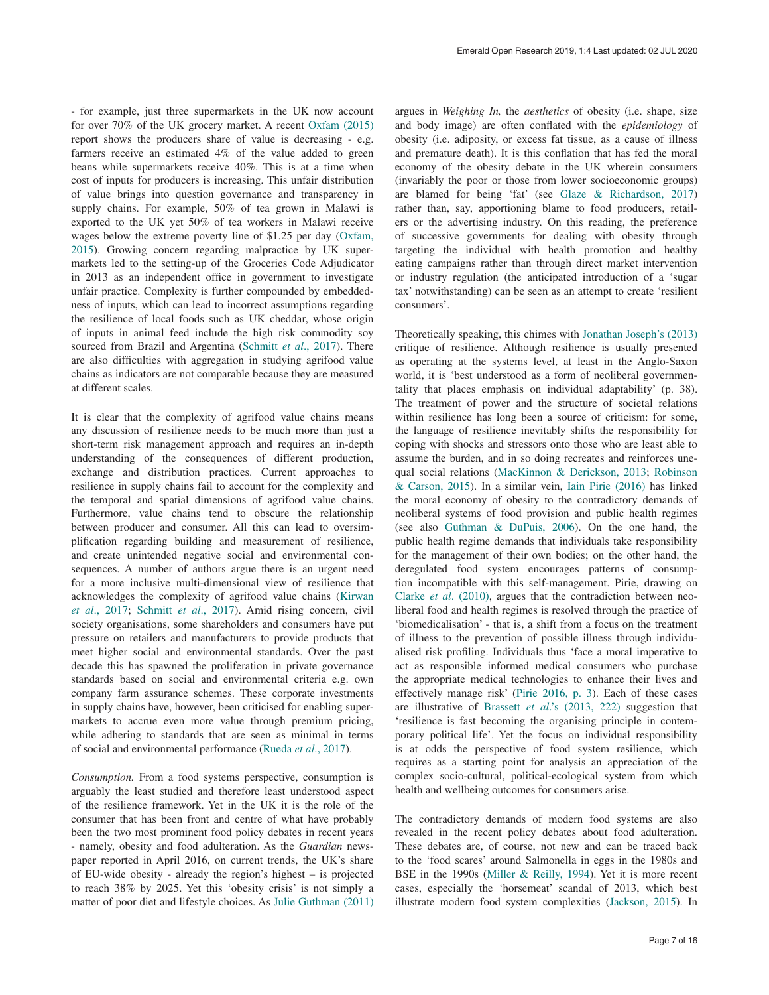- for example, just three supermarkets in the UK now account for over 70% of the UK grocery market. A recent [Oxfam \(2015\)](#page-9-0) report shows the producers share of value is decreasing - e.g. farmers receive an estimated 4% of the value added to green beans while supermarkets receive 40%. This is at a time when cost of inputs for producers is increasing. This unfair distribution of value brings into question governance and transparency in supply chains. For example, 50% of tea grown in Malawi is exported to the UK yet 50% of tea workers in Malawi receive wages below the extreme poverty line of \$1.25 per day [\(Oxfam,](#page-9-0)  [2015\)](#page-9-0). Growing concern regarding malpractice by UK supermarkets led to the setting-up of the Groceries Code Adjudicator in 2013 as an independent office in government to investigate unfair practice. Complexity is further compounded by embeddedness of inputs, which can lead to incorrect assumptions regarding the resilience of local foods such as UK cheddar, whose origin of inputs in animal feed include the high risk commodity soy sourced from Brazil and Argentina (Schmitt *et al*[., 2017\).](#page-10-0) There are also difficulties with aggregation in studying agrifood value chains as indicators are not comparable because they are measured at different scales.

It is clear that the complexity of agrifood value chains means any discussion of resilience needs to be much more than just a short-term risk management approach and requires an in-depth understanding of the consequences of different production, exchange and distribution practices. Current approaches to resilience in supply chains fail to account for the complexity and the temporal and spatial dimensions of agrifood value chains. Furthermore, value chains tend to obscure the relationship between producer and consumer. All this can lead to oversimplification regarding building and measurement of resilience, and create unintended negative social and environmental consequences. A number of authors argue there is an urgent need for a more inclusive multi-dimensional view of resilience that acknowledges the complexity of agrifood value chains ([Kirwan](#page-9-0)  *et al*[., 2017;](#page-9-0) [Schmitt](#page-10-0) *et al*., 2017). Amid rising concern, civil society organisations, some shareholders and consumers have put pressure on retailers and manufacturers to provide products that meet higher social and environmental standards. Over the past decade this has spawned the proliferation in private governance standards based on social and environmental criteria e.g. own company farm assurance schemes. These corporate investments in supply chains have, however, been criticised for enabling supermarkets to accrue even more value through premium pricing, while adhering to standards that are seen as minimal in terms of social and environmental performance ([Rueda](#page-10-0) *et al*., 2017).

*Consumption.* From a food systems perspective, consumption is arguably the least studied and therefore least understood aspect of the resilience framework. Yet in the UK it is the role of the consumer that has been front and centre of what have probably been the two most prominent food policy debates in recent years - namely, obesity and food adulteration. As the *Guardian* newspaper reported in April 2016, on current trends, the UK's share of EU-wide obesity - already the region's highest – is projected to reach 38% by 2025. Yet this 'obesity crisis' is not simply a matter of poor diet and lifestyle choices. As [Julie Guthman \(2011\)](#page-9-0)

argues in *Weighing In,* the *aesthetics* of obesity (i.e. shape, size and body image) are often conflated with the *epidemiology* of obesity (i.e. adiposity, or excess fat tissue, as a cause of illness and premature death). It is this conflation that has fed the moral economy of the obesity debate in the UK wherein consumers (invariably the poor or those from lower socioeconomic groups) are blamed for being 'fat' (see [Glaze & Richardson, 2017\)](#page-9-0) rather than, say, apportioning blame to food producers, retailers or the advertising industry. On this reading, the preference of successive governments for dealing with obesity through targeting the individual with health promotion and healthy eating campaigns rather than through direct market intervention or industry regulation (the anticipated introduction of a 'sugar tax' notwithstanding) can be seen as an attempt to create 'resilient consumers'.

Theoretically speaking, this chimes with [Jonathan Joseph's \(2013\)](#page-9-0) critique of resilience. Although resilience is usually presented as operating at the systems level, at least in the Anglo-Saxon world, it is 'best understood as a form of neoliberal governmentality that places emphasis on individual adaptability' (p. 38). The treatment of power and the structure of societal relations within resilience has long been a source of criticism: for some, the language of resilience inevitably shifts the responsibility for coping with shocks and stressors onto those who are least able to assume the burden, and in so doing recreates and reinforces unequal social relations [\(MacKinnon & Derickson, 2013;](#page-9-0) [Robinson](#page-10-0)  [& Carson, 2015\)](#page-10-0). In a similar vein, [Iain Pirie \(2016\)](#page-10-0) has linked the moral economy of obesity to the contradictory demands of neoliberal systems of food provision and public health regimes (see also [Guthman & DuPuis, 2006\)](#page-9-0). On the one hand, the public health regime demands that individuals take responsibility for the management of their own bodies; on the other hand, the deregulated food system encourages patterns of consumption incompatible with this self-management. Pirie, drawing on Clarke *et al*[. \(2010\),](#page-8-0) argues that the contradiction between neoliberal food and health regimes is resolved through the practice of 'biomedicalisation' - that is, a shift from a focus on the treatment of illness to the prevention of possible illness through individualised risk profiling. Individuals thus 'face a moral imperative to act as responsible informed medical consumers who purchase the appropriate medical technologies to enhance their lives and effectively manage risk' [\(Pirie 2016, p. 3\)](#page-10-0). Each of these cases are illustrative of Brassett *et al*[.'s \(2013, 222\)](#page-8-0) suggestion that 'resilience is fast becoming the organising principle in contemporary political life'. Yet the focus on individual responsibility is at odds the perspective of food system resilience, which requires as a starting point for analysis an appreciation of the complex socio-cultural, political-ecological system from which health and wellbeing outcomes for consumers arise.

The contradictory demands of modern food systems are also revealed in the recent policy debates about food adulteration. These debates are, of course, not new and can be traced back to the 'food scares' around Salmonella in eggs in the 1980s and BSE in the 1990s ([Miller & Reilly, 1994\)](#page-9-0). Yet it is more recent cases, especially the 'horsemeat' scandal of 2013, which best illustrate modern food system complexities ([Jackson, 2015\)](#page-9-0). In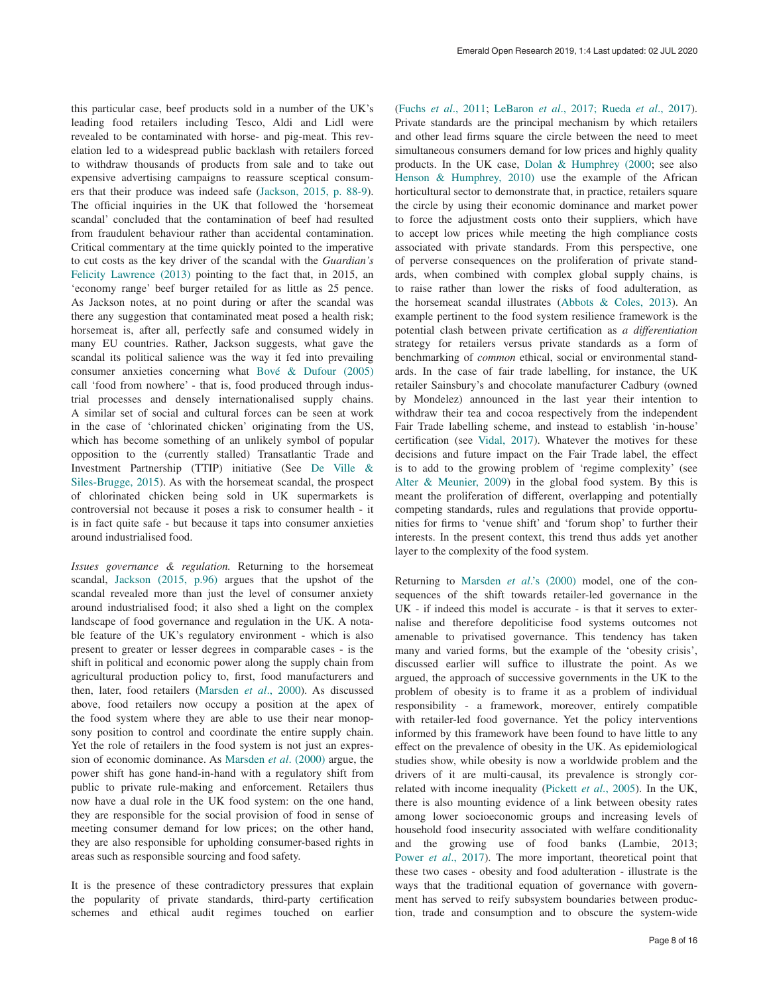this particular case, beef products sold in a number of the UK's leading food retailers including Tesco, Aldi and Lidl were revealed to be contaminated with horse- and pig-meat. This revelation led to a widespread public backlash with retailers forced to withdraw thousands of products from sale and to take out expensive advertising campaigns to reassure sceptical consumers that their produce was indeed safe [\(Jackson, 2015, p. 88-9\).](#page-9-0)  The official inquiries in the UK that followed the 'horsemeat scandal' concluded that the contamination of beef had resulted from fraudulent behaviour rather than accidental contamination. Critical commentary at the time quickly pointed to the imperative to cut costs as the key driver of the scandal with the *Guardian's*  [Felicity Lawrence \(2013\)](#page-9-0) pointing to the fact that, in 2015, an 'economy range' beef burger retailed for as little as 25 pence. As Jackson notes, at no point during or after the scandal was there any suggestion that contaminated meat posed a health risk; horsemeat is, after all, perfectly safe and consumed widely in many EU countries. Rather, Jackson suggests, what gave the scandal its political salience was the way it fed into prevailing consumer anxieties concerning what [Bové & Dufour \(2005\)](#page-8-0) call 'food from nowhere' - that is, food produced through industrial processes and densely internationalised supply chains. A similar set of social and cultural forces can be seen at work in the case of 'chlorinated chicken' originating from the US, which has become something of an unlikely symbol of popular opposition to the (currently stalled) Transatlantic Trade and Investment Partnership (TTIP) initiative (See [De Ville &](#page-8-0)  [Siles-Brugge, 2015\)](#page-8-0). As with the horsemeat scandal, the prospect of chlorinated chicken being sold in UK supermarkets is controversial not because it poses a risk to consumer health - it is in fact quite safe - but because it taps into consumer anxieties around industrialised food.

*Issues governance & regulation.* Returning to the horsemeat scandal, [Jackson \(2015, p.96\)](#page-9-0) argues that the upshot of the scandal revealed more than just the level of consumer anxiety around industrialised food; it also shed a light on the complex landscape of food governance and regulation in the UK. A notable feature of the UK's regulatory environment - which is also present to greater or lesser degrees in comparable cases - is the shift in political and economic power along the supply chain from agricultural production policy to, first, food manufacturers and then, later, food retailers ([Marsden](#page-9-0) *et al*., 2000). As discussed above, food retailers now occupy a position at the apex of the food system where they are able to use their near monopsony position to control and coordinate the entire supply chain. Yet the role of retailers in the food system is not just an expression of economic dominance. As [Marsden](#page-9-0) *et al*. (2000) argue, the power shift has gone hand-in-hand with a regulatory shift from public to private rule-making and enforcement. Retailers thus now have a dual role in the UK food system: on the one hand, they are responsible for the social provision of food in sense of meeting consumer demand for low prices; on the other hand, they are also responsible for upholding consumer-based rights in areas such as responsible sourcing and food safety.

It is the presence of these contradictory pressures that explain the popularity of private standards, third-party certification schemes and ethical audit regimes touched on earlier (Fuchs *et al*[., 2011](#page-9-0); [LeBaron](#page-9-0) *et al*., 2017; Rueda *et al*[., 2017](#page-10-0)). Private standards are the principal mechanism by which retailers and other lead firms square the circle between the need to meet simultaneous consumers demand for low prices and highly quality products. In the UK case, [Dolan & Humphrey \(2000;](#page-9-0) see also [Henson & Humphrey, 2010\)](#page-9-0) use the example of the African horticultural sector to demonstrate that, in practice, retailers square the circle by using their economic dominance and market power to force the adjustment costs onto their suppliers, which have to accept low prices while meeting the high compliance costs associated with private standards. From this perspective, one of perverse consequences on the proliferation of private standards, when combined with complex global supply chains, is to raise rather than lower the risks of food adulteration, as the horsemeat scandal illustrates ([Abbots & Coles, 2013](#page-8-0)). An example pertinent to the food system resilience framework is the potential clash between private certification as *a differentiation* strategy for retailers versus private standards as a form of benchmarking of *common* ethical, social or environmental standards. In the case of fair trade labelling, for instance, the UK retailer Sainsbury's and chocolate manufacturer Cadbury (owned by Mondelez) announced in the last year their intention to withdraw their tea and cocoa respectively from the independent Fair Trade labelling scheme, and instead to establish 'in-house' certification (see [Vidal, 2017](#page-10-0)). Whatever the motives for these decisions and future impact on the Fair Trade label, the effect is to add to the growing problem of 'regime complexity' (see [Alter & Meunier, 2009\)](#page-8-0) in the global food system. By this is meant the proliferation of different, overlapping and potentially competing standards, rules and regulations that provide opportunities for firms to 'venue shift' and 'forum shop' to further their interests. In the present context, this trend thus adds yet another layer to the complexity of the food system.

Returning to Marsden *et al*[.'s \(2000\)](#page-9-0) model, one of the consequences of the shift towards retailer-led governance in the UK - if indeed this model is accurate - is that it serves to externalise and therefore depoliticise food systems outcomes not amenable to privatised governance. This tendency has taken many and varied forms, but the example of the 'obesity crisis', discussed earlier will suffice to illustrate the point. As we argued, the approach of successive governments in the UK to the problem of obesity is to frame it as a problem of individual responsibility - a framework, moreover, entirely compatible with retailer-led food governance. Yet the policy interventions informed by this framework have been found to have little to any effect on the prevalence of obesity in the UK. As epidemiological studies show, while obesity is now a worldwide problem and the drivers of it are multi-causal, its prevalence is strongly correlated with income inequality ([Pickett](#page-10-0) *et al*., 2005). In the UK, there is also mounting evidence of a link between obesity rates among lower socioeconomic groups and increasing levels of household food insecurity associated with welfare conditionality and the growing use of food banks (Lambie, 2013; Power *et al.*, 2017). The more important, theoretical point that these two cases - obesity and food adulteration - illustrate is the ways that the traditional equation of governance with government has served to reify subsystem boundaries between production, trade and consumption and to obscure the system-wide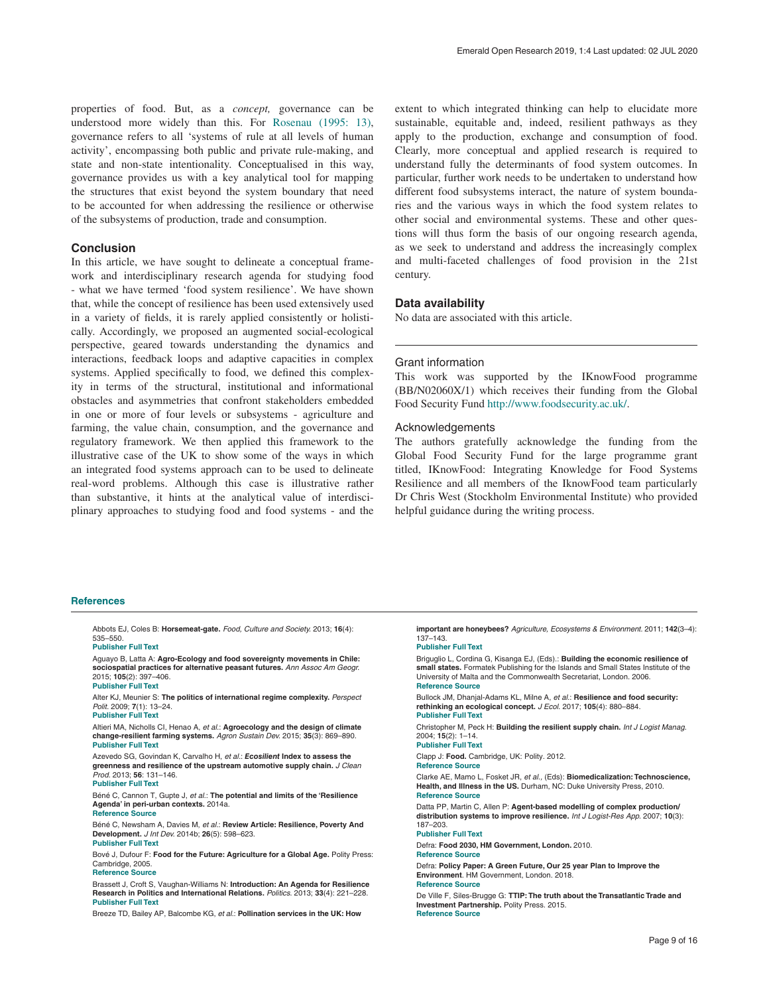<span id="page-8-0"></span>properties of food. But, as a *concept,* governance can be understood more widely than this. For [Rosenau \(1995: 13\),](#page-10-0)  governance refers to all 'systems of rule at all levels of human activity', encompassing both public and private rule-making, and state and non-state intentionality. Conceptualised in this way, governance provides us with a key analytical tool for mapping the structures that exist beyond the system boundary that need to be accounted for when addressing the resilience or otherwise of the subsystems of production, trade and consumption.

## **Conclusion**

In this article, we have sought to delineate a conceptual framework and interdisciplinary research agenda for studying food - what we have termed 'food system resilience'. We have shown that, while the concept of resilience has been used extensively used in a variety of fields, it is rarely applied consistently or holistically. Accordingly, we proposed an augmented social-ecological perspective, geared towards understanding the dynamics and interactions, feedback loops and adaptive capacities in complex systems. Applied specifically to food, we defined this complexity in terms of the structural, institutional and informational obstacles and asymmetries that confront stakeholders embedded in one or more of four levels or subsystems - agriculture and farming, the value chain, consumption, and the governance and regulatory framework. We then applied this framework to the illustrative case of the UK to show some of the ways in which an integrated food systems approach can to be used to delineate real-word problems. Although this case is illustrative rather than substantive, it hints at the analytical value of interdisciplinary approaches to studying food and food systems - and the

extent to which integrated thinking can help to elucidate more sustainable, equitable and, indeed, resilient pathways as they apply to the production, exchange and consumption of food. Clearly, more conceptual and applied research is required to understand fully the determinants of food system outcomes. In particular, further work needs to be undertaken to understand how different food subsystems interact, the nature of system boundaries and the various ways in which the food system relates to other social and environmental systems. These and other questions will thus form the basis of our ongoing research agenda, as we seek to understand and address the increasingly complex and multi-faceted challenges of food provision in the 21st century.

# **Data availability**

No data are associated with this article.

### Grant information

This work was supported by the IKnowFood programme (BB/N02060X/1) which receives their funding from the Global Food Security Fund<http://www.foodsecurity.ac.uk/>.

## Acknowledgements

The authors gratefully acknowledge the funding from the Global Food Security Fund for the large programme grant titled, IKnowFood: Integrating Knowledge for Food Systems Resilience and all members of the IknowFood team particularly Dr Chris West (Stockholm Environmental Institute) who provided helpful guidance during the writing process.

### **References**

Abbots EJ, Coles B: **Horsemeat-gate.** *Food, Culture and Society.* 2013; **16**(4): 535–550. **[Publisher Full Text](http://dx.doi.org/10.2752/175174413X13758634981976)**

Aguayo B, Latta A: **Agro-Ecology and food sovereignty movements in Chile: sociospatial practices for alternative peasant futures.** *Ann Assoc Am Geogr.* 2015; **105**(2): 397–406. **[Publisher Full Text](http://dx.doi.org/10.1080/00045608.2014.985626)**

Alter KJ, Meunier S: **The politics of international regime complexity.** *Perspect Polit.* 2009; **7**(1): 13–24.

# **[Publisher Full Text](http://dx.doi.org/10.1017/S1537592709090033)** Altieri MA, Nicholls CI, Henao A, *et al.*: **Agroecology and the design of climate**

**change-resilient farming systems.** *Agron Sustain Dev.* 2015; **35**(3): 869–890. **[Publisher Full Text](http://dx.doi.org/10.1007/s13593-015-0285-2)**

Azevedo SG, Govindan K, Carvalho H, *et al.*: *Ecosilient* **Index to assess the greenness and resilience of the upstream automotive supply chain.** *J Clean Prod.* 2013; **56**: 131–146. **[Publisher Full Text](http://dx.doi.org/10.1016/j.jclepro.2012.04.011)**

# Béné C, Cannon T, Gupte J, *et al.*: **The potential and limits of the 'Resilience Agenda' in peri-urban contexts.** 2014a. **[Reference Source](https://opendocs.ids.ac.uk/opendocs/handle/123456789/3879)**

Béné C, Newsham A, Davies M, *et al.*: **Review Article: Resilience, Poverty And Development.** *J Int Dev.* 2014b; **26**(5): 598–623. **[Publisher Full Text](http://dx.doi.org/10.1002/jid.2992)**

Bové J, Dufour F: **Food for the Future: Agriculture for a Global Age.** Polity Press: Cambridge, 2005. **[Reference Source](https://books.google.co.in/books/about/Food_for_the_Future.html?id=oOZXn9CA15EC&redir_esc=y)**

### Brassett J, Croft S, Vaughan-Williams N: **Introduction: An Agenda for Resilience Research in Politics and International Relations.** *Politics.* 2013; **33**(4): 221–228. **[Publisher Full Text](http://dx.doi.org/10.1111/1467-9256.12032)**

Breeze TD, Bailey AP, Balcombe KG, *et al.*: **Pollination services in the UK: How** 

**important are honeybees?** *Agriculture, Ecosystems & Environment.* 2011; **142**(3–4): 137–143. **[Publisher Full Text](http://dx.doi.org/10.1016/j.agee.2011.03.020)**

Briguglio L, Cordina G, Kisanga EJ, (Eds).: **Building the economic resilience of small states.** Formatek Publishing for the Islands and Small States Institute of the University of Malta and the Commonwealth Secretariat, London. 2006. **[Reference Source](https://www.um.edu.mt/__data/assets/pdf_file/0010/80749/Book_BUILDING_THE_ECONOMIC_RESILIENCE_OF_SMALL_STATES.pdf)**

Bullock JM, Dhanjal-Adams KL, Milne A, *et al.*: **Resilience and food security: rethinking an ecological concept.** *J Ecol.* 2017; **105**(4): 880–884. **[Publisher Full Text](http://dx.doi.org/10.1111/1365-2745.12791)**

Christopher M, Peck H: **Building the resilient supply chain.** *Int J Logist Manag.* 2004; **15**(2): 1–14. **[Publisher Full Text](http://dx.doi.org/10.1108/09574090410700275)**

Clapp J: **Food.** Cambridge, UK: Polity. 2012.

**[Reference Source](https://books.google.co.in/books/about/Food.html?id=sb062_eta3UC&redir_esc=y)**

Clarke AE, Mamo L, Fosket JR, *et al.,* (Eds): **Biomedicalization: Technoscience, Health, and Illness in the US.** Durham, NC: Duke University Press, 2010. **[Reference Source](https://www.dukeupress.edu/biomedicalization)**

Datta PP, Martin C, Allen P: **Agent-based modelling of complex production/ distribution systems to improve resilience.** *Int J Logist-Res App.* 2007; **10**(3): 187–203.

### **[Publisher Full Text](http://dx.doi.org/10.1080/13675560701467144)**

Defra: **Food 2030, HM Government, London.** 2010. **[Reference Source](http://appg-agscience.org.uk/linkedfiles/Defra food2030strategy.pdf)**

Defra: **Policy Paper: A Green Future, Our 25 year Plan to Improve the Environment**. HM Government, London. 2018.

**[Reference Source](https://assets.publishing.service.gov.uk/government/uploads/system/uploads/attachment_data/file/693158/25-year-environment-plan.pdf)**

De Ville F, Siles-Brugge G: **TTIP: The truth about the Transatlantic Trade and Investment Partnership.** Polity Press. 2015. **[Reference Source](https://www.wiley.com/en-us/TTIP:+The+Truth+about+the+Transatlantic+Trade+and+Investment+Partnership-p-9781509501021)**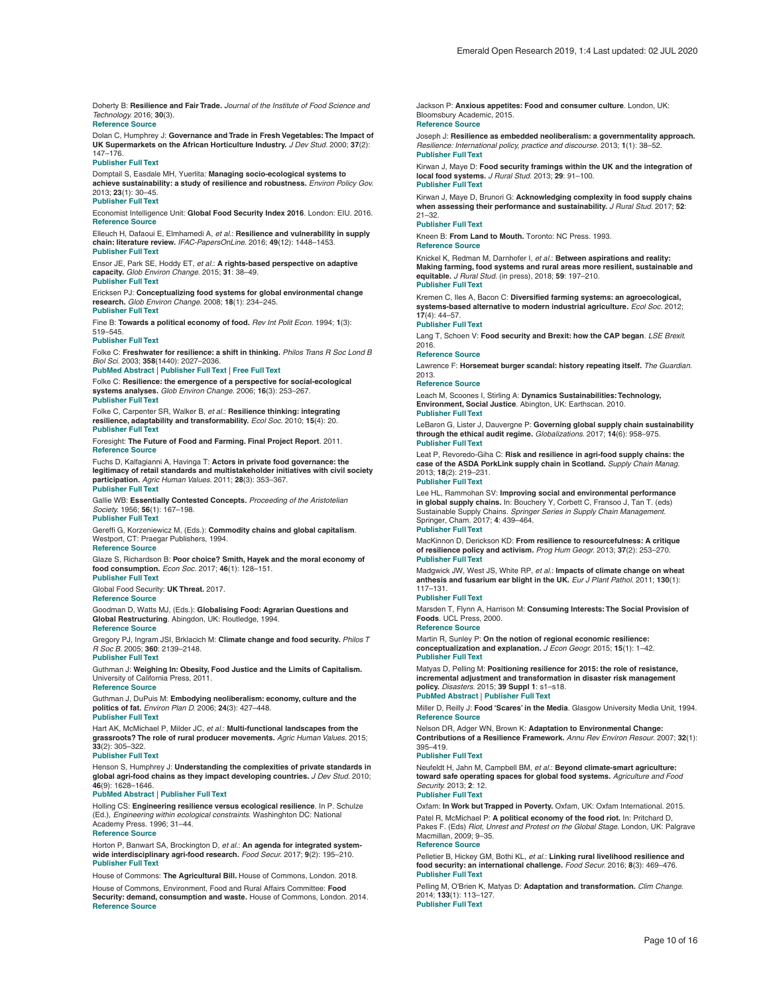<span id="page-9-0"></span>Doherty B: **Resilience and Fair Trade.** *Journal of the Institute of Food Science and Technology.* 2016; **30**(3).

## **[Reference Source](http://eprints.whiterose.ac.uk/110305/)**

Dolan C, Humphrey J: **Governance and Trade in Fresh Vegetables: The Impact of UK Supermarkets on the African Horticulture Industry.** *J Dev Stud.* 2000; **37**(2): 147–176.

### **[Publisher Full Text](http://dx.doi.org/10.1080/713600072)**

Domptail S, Easdale MH, Yuerlita: **Managing socio-ecological systems to achieve sustainability: a study of resilience and robustness.** *Environ Policy Gov.* 2013; **23**(1): 30–45.

**[Publisher Full Text](http://dx.doi.org/10.1002/eet.1604)** Economist Intelligence Unit: **Global Food Security Index 2016**. London: EIU. 2016. **[Reference Source](https://foodsecurityindex.eiu.com/Home/DownloadResource?fileName=EIU Global Food Security Index - 2016 Findings & Methodology.pdf)**

Elleuch H, Dafaoui E, Elmhamedi A, *et al.*: **Resilience and vulnerability in supply chain: literature review.** *IFAC-PapersOnLine.* 2016; **49**(12): 1448–1453. **[Publisher Full Text](http://dx.doi.org/10.1016/j.ifacol.2016.07.775)**

Ensor JE, Park SE, Hoddy ET, *et al.*: **A rights-based perspective on adaptive capacity.** *Glob Environ Change.* 2015; **31**: 38–49. **[Publisher Full Text](http://dx.doi.org/10.1016/j.gloenvcha.2014.12.005)**

Ericksen PJ: **Conceptualizing food systems for global environmental change research.** *Glob Environ Change.* 2008; **18**(1): 234–245. **[Publisher Full Text](http://dx.doi.org/10.1016/j.gloenvcha.2007.09.002)**

Fine B: **Towards a political economy of food.** *Rev Int Polit Econ.* 1994; **1**(3): 519–545.

### **[Publisher Full Text](http://dx.doi.org/10.1080/09692299408434297)**

Folke C: **Freshwater for resilience: a shift in thinking.** *Philos Trans R Soc Lond B Biol Sci.* 2003; **358**(1440): 2027–2036.

### **[PubMed Abstract](http://www.ncbi.nlm.nih.gov/pubmed/14728796)** | **[Publisher Full Text](http://dx.doi.org/10.1098/rstb.2003.1385)** | **[Free Full Text](http://www.ncbi.nlm.nih.gov/pmc/articles/1693282)**

Folke C: **Resilience: the emergence of a perspective for social-ecological systems analyses.** *Glob Environ Change.* 2006; **16**(3): 253–267. **[Publisher Full Text](http://dx.doi.org/10.1016/j.gloenvcha.2006.04.002)**

Folke C, Carpenter SR, Walker B, *et al.*: **Resilience thinking: integrating resilience, adaptability and transformability.** *Ecol Soc.* 2010; **15**(4): 20. **[Publisher Full Text](http://dx.doi.org/10.5751/ES-03610-150420)**

Foresight: **The Future of Food and Farming. Final Project Report**. 2011. **[Reference Source](http://www.eracaps.org/sites/default/files/content/foresight_report.pdf)**

Fuchs D, Kalfagianni A, Havinga T: **Actors in private food governance: the legitimacy of retail standards and multistakeholder initiatives with civil society participation.** *Agric Human Values.* 2011; **28**(3): 353–367. **[Publisher Full Text](http://dx.doi.org/10.1007/s10460-009-9236-3)**

Gallie WB: **Essentially Contested Concepts.** *Proceeding of the Aristotelian Society.* 1956; **56**(1): 167–198.

# **[Publisher Full Text](http://dx.doi.org/10.1093/aristotelian/56.1.167)**

Gereffi G, Korzeniewicz M, (Eds.): **Commodity chains and global capitalism**. Westport, CT: Praegar Publishers, 1994. **[Reference Source](https://edisciplinas.usp.br/pluginfile.php/4211905/mod_folder/content/0/Gereffi (1994) The Organization of Buyer-Driven Global Commodity Chains.pdf)**

Glaze S, Richardson B: **Poor choice? Smith, Hayek and the moral economy of food consumption.** *Econ Soc.* 2017; **46**(1): 128–151.

**[Publisher Full Text](http://dx.doi.org/10.1080/03085147.2017.1308058)** Global Food Security: **UK Threat.** 2017.

### **[Reference Source](https://www.foodsecurity.ac.uk/challenge/uk-threat/)**

Goodman D, Watts MJ, (Eds.): **Globalising Food: Agrarian Questions and Global Restructuring**. Abingdon, UK: Routledge, 1994.

### **[Reference Source](http://www.egrg.rgs.org/wp-content/uploads/2013/12/goodwatt.pdf)**

Gregory PJ, Ingram JSI, Brklacich M: **Climate change and food security.** *Philos T R Soc B.* 2005; **360**: 2139–2148.

# **[Publisher Full Text](http://dx.doi.org/10.1098/rstb.2005.1745)**

Guthman J: **Weighing In: Obesity, Food Justice and the Limits of Capitalism.** University of California Press, 2011. **[Reference Source](http://www.worldcat.org/title/weighing-in-obesity-food-justice-and-the-limits-of-capitalism/oclc/756485067)**

Guthman J, DuPuis M: **Embodying neoliberalism: economy, culture and the politics of fat.** *Environ Plan D.* 2006; **24**(3): 427–448. **[Publisher Full Text](http://dx.doi.org/10.1068/d3904)**

Hart AK, McMichael P, Milder JC, *et al.*: **Multi-functional landscapes from the grassroots? The role of rural producer movements.** *Agric Human Values.* 2015; **33**(2): 305–322.

### **[Publisher Full Text](http://dx.doi.org/10.1007/s10460-015-9611-1)**

Henson S, Humphrey J: **Understanding the complexities of private standards in global agri-food chains as they impact developing countries.** *J Dev Stud.* 2010; **46**(9): 1628–1646.

### **[PubMed Abstract](http://www.ncbi.nlm.nih.gov/pubmed/21328807)** | **[Publisher Full Text](http://dx.doi.org/10.1080/00220381003706494)**

Holling CS: **Engineering resilience versus ecological resilience**. In P. Schulze (Ed.), *Engineering within ecological constraints*. Washinghton DC: National Academy Press. 1996; 31–44. **[Reference Source](http://www.environmentalmanager.org/wp-content/uploads/2008/03/holling-eng-vs-eco-resilience.pdf)**

Horton P, Banwart SA, Brockington D, *et al.*: **An agenda for integrated systemwide interdisciplinary agri-food research.** *Food Secur.* 2017; **9**(2): 195–210. **[Publisher Full Text](http://dx.doi.org/10.1007/s12571-017-0648-4)**

House of Commons: **The Agricultural Bill.** House of Commons, London. 2018.

House of Commons, Environment, Food and Rural Affairs Committee: **Food Security: demand, consumption and waste.** House of Commons, London. 2014. **[Reference Source](http://www.publications.parliament.uk/pa/cm201415/cmselect/cmenvfru/703/703.pdf)**

Jackson P: **Anxious appetites: Food and consumer culture**. London, UK: Bloomsbury Academic, 2015. **[Reference Source](https://books.google.co.in/books?id=PnMpCgAAQBAJ&pg=PR4&lpg=PR4&dq=Anxious+appetites:+Food+and+consumer+culture.+London,+UK:+Bloomsbury+Academic+2015&source=bl&ots=d0woXGMNjr&sig=8x-EvZmEOde4sHI4NxNeA95MRNk&hl=en&sa=X&ved=2ahUKEwiHnJ2fsYXfAhXXdysKHaBuDmwQ6AEwBHoECAEQAQ#v=onepage&q&f=false)**

### Joseph J: **Resilience as embedded neoliberalism: a governmentality approach.** *Resilience: International policy, practice and discourse.* 2013; **1**(1): 38–52.

### **[Publisher Full Text](http://dx.doi.org/10.1080/21693293.2013.765741)**

Kirwan J, Maye D: **Food security framings within the UK and the integration of local food systems.** *J Rural Stud.* 2013; **29**: 91–100. **[Publisher Full Text](http://dx.doi.org/10.1016/j.jrurstud.2012.03.002)**

### Kirwan J, Maye D, Brunori G: **Acknowledging complexity in food supply chains when assessing their performance and sustainability.** *J Rural Stud.* 2017; **52**:

### 21–32. **[Publisher Full Text](http://dx.doi.org/10.1016/j.jrurstud.2017.03.008)**

Kneen B: **From Land to Mouth.** Toronto: NC Press. 1993. **[Reference Source](http://ramshorn.ca/sites/default/files/LandToMouth.pdf)**

# Knickel K, Redman M, Darnhofer I, *et al.*: **Between aspirations and reality:**

**Making farming, food systems and rural areas more resilient, sustainable and equitable.** *J Rural Stud.* (in press), 2018; **59**: 197–210. **[Publisher Full Text](http://dx.doi.org/10.1016/j.jrurstud.2017.04.012)**

Kremen C, Iles A, Bacon C: **Diversified farming systems: an agroecological, systems-based alternative to modern industrial agriculture.** *Ecol Soc.* 2012; **17**(4): 44–57.

### **[Publisher Full Text](http://dx.doi.org/10.5751/ES-05103-170444)**

Lang T, Schoen V: **Food security and Brexit: how the CAP began**. *LSE Brexit*. 2016.

### **[Reference Source](http://blogs.lse.ac.uk/brexit/2016/03/23/food-security-and-brexit-how-the-cap-began/)**

Lawrence F: **Horsemeat burger scandal: history repeating itself.** *The Guardian.* 2013.

### **[Reference Source](https://www.theguardian.com)**

Leach M, Scoones I, Stirling A: **Dynamics Sustainabilities: Technology, Environment, Social Justice**. Abington, UK: Earthscan. 2010. **[Publisher Full Text](http://dx.doi.org/10.4324/9781849775069)**

LeBaron G, Lister J, Dauvergne P: **Governing global supply chain sustainability through the ethical audit regime.** *Globalizations.* 2017; **14**(6): 958–975. **[Publisher Full Text](http://dx.doi.org/10.1080/14747731.2017.1304008)**

Leat P, Revoredo-Giha C: **Risk and resilience in agri-food supply chains: the case of the ASDA PorkLink supply chain in Scotland.** *Supply Chain Manag.* 2013; **18**(2): 219–231. **[Publisher Full Text](http://dx.doi.org/10.1108/13598541311318845)**

Lee HL, Rammohan SV: **Improving social and environmental performance in global supply chains.** In: Bouchery Y, Corbett C, Fransoo J, Tan T. (eds) Sustainable Supply Chains. *Springer Series in Supply Chain Management*. Springer, Cham. 2017; **4**: 439–464.

### **[Publisher Full Text](http://dx.doi.org/10.1007/978-3-319-29791-0_20)**

MacKinnon D, Derickson KD: **From resilience to resourcefulness: A critique of resilience policy and activism.** *Prog Hum Geogr.* 2013; **37**(2): 253–270. **[Publisher Full Text](http://dx.doi.org/10.1177/0309132512454775)**

### Madgwick JW, West JS, White RP, *et al.*: **Impacts of climate change on wheat anthesis and fusarium ear blight in the UK.** *Eur J Plant Pathol.* 2011; **130**(1): 117–131.

### **[Publisher Full Text](http://dx.doi.org/10.1007/s10658-010-9739-1)**

Marsden T, Flynn A, Harrison M: **Consuming Interests: The Social Provision of Foods**. UCL Press, 2000.

### **[Reference Source](https://books.google.co.in/books?id=L5jwqItG-B8C&printsec=frontcover&source=gbs_ge_summary_r&cad=0#v=onepage&q&f=false)**

Martin R, Sunley P: **On the notion of regional economic resilience: conceptualization and explanation.** *J Econ Geogr.* 2015; **15**(1): 1–42. **[Publisher Full Text](http://dx.doi.org/10.1093/jeg/lbu015)**

Matyas D, Pelling M: **Positioning resilience for 2015: the role of resistance, incremental adjustment and transformation in disaster risk management policy.** *Disasters.* 2015; **39 Suppl 1**: s1–s18. **[PubMed Abstract](http://www.ncbi.nlm.nih.gov/pubmed/25494954)** | **[Publisher Full Text](http://dx.doi.org/10.1111/disa.12107)**

Miller D, Reilly J: **Food 'Scares' in the Media**. Glasgow University Media Unit, 1994. **[Reference Source](http://www.dmiller.info/food-scares-in-the-media)**

Nelson DR, Adger WN, Brown K: **Adaptation to Environmental Change: Contributions of a Resilience Framework.** *Annu Rev Environ Resour.* 2007; **32**(1): 395–419.

### **[Publisher Full Text](http://dx.doi.org/10.1146/annurev.energy.32.051807.090348)**

Neufeldt H, Jahn M, Campbell BM, *et al.*: **Beyond climate-smart agriculture: toward safe operating spaces for global food systems.** *Agriculture and Food Security.* 2013; **2**: 12. **[Publisher Full Text](http://dx.doi.org/10.1186/2048-7010-2-12)**

Oxfam: **In Work but Trapped in Poverty.** Oxfam, UK: Oxfam International. 2015. Patel R, McMichael P: **A political economy of the food riot.** In: Pritchard D, Pakes F. (Eds) *Riot, Unrest and Protest on the Global Stage.* London, UK: Palgrave Macmillan, 2009; 9–35. **[Reference Source](https://www.researchgate.net/profile/Philip_Mcmichael/publication/286884893_A_Political_Economy_of_the_Food_Riot/links/5694f44608aeab58a9a4b5a4/A-Political-Economy-of-the-Food-Riot.pdf)**

Pelletier B, Hickey GM, Bothi KL, *et al.*: **Linking rural livelihood resilience and food security: an international challenge.** *Food Secur.* 2016; **8**(3): 469–476. **[Publisher Full Text](http://dx.doi.org/10.1007/s12571-016-0576-8)**

Pelling M, O'Brien K, Matyas D: **Adaptation and transformation.** *Clim Change.* 2014; **133**(1): 113–127. **[Publisher Full Text](http://dx.doi.org/10.1007/s10584-014-1303-0)**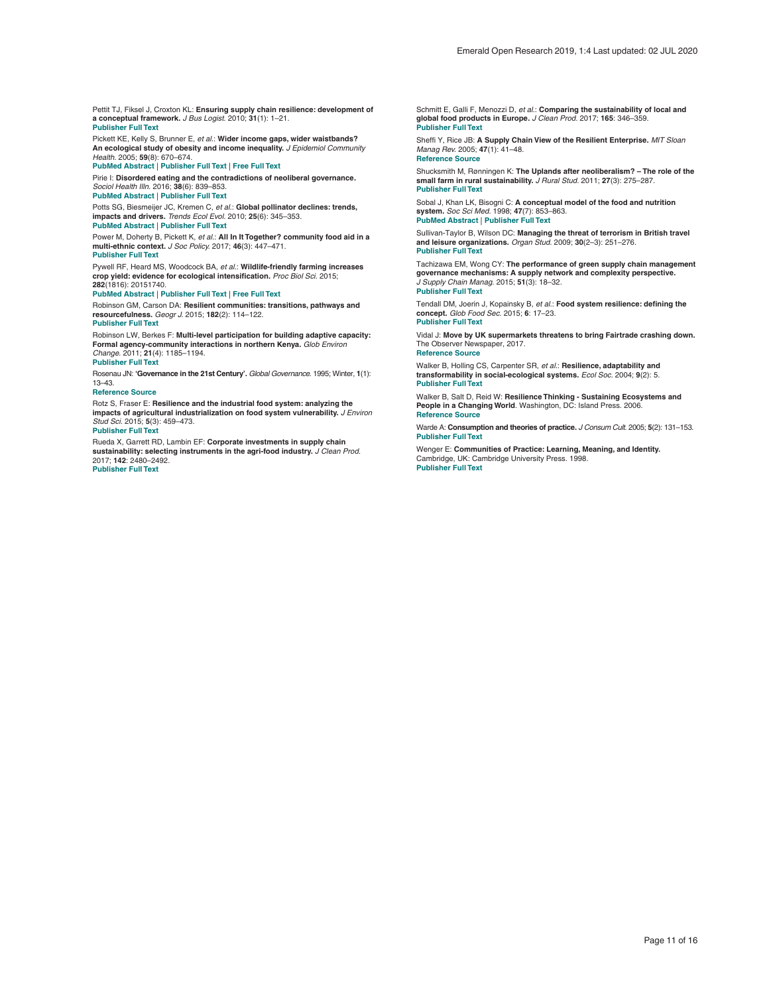<span id="page-10-0"></span>Pettit TJ, Fiksel J, Croxton KL: **Ensuring supply chain resilience: development of a conceptual framework.** *J Bus Logist.* 2010; **31**(1): 1–21. **[Publisher Full Text](http://dx.doi.org/10.1002/j.2158-1592.2010.tb00125.x)**

Pickett KE, Kelly S, Brunner E, *et al.*: **Wider income gaps, wider waistbands? An ecological study of obesity and income inequality.** *J Epidemiol Community Health.* 2005; **59**(8): 670–674. **[PubMed Abstract](http://www.ncbi.nlm.nih.gov/pubmed/16020644)** | **[Publisher Full Text](http://dx.doi.org/10.1136/jech.2004.028795)** | **[Free Full Text](http://www.ncbi.nlm.nih.gov/pmc/articles/1733121)**

Pirie I: **Disordered eating and the contradictions of neoliberal governance.** *Sociol Health Illn.* 2016; **38**(6): 839–853.

**[PubMed Abstract](http://www.ncbi.nlm.nih.gov/pubmed/26896419)** | **[Publisher Full Text](http://dx.doi.org/10.1111/1467-9566.12408)**

Potts SG, Biesmeijer JC, Kremen C, *et al.*: **Global pollinator declines: trends, impacts and drivers.** *Trends Ecol Evol.* 2010; **25**(6): 345–353. **[PubMed Abstract](http://www.ncbi.nlm.nih.gov/pubmed/20188434)** | **[Publisher Full Text](http://dx.doi.org/10.1016/j.tree.2010.01.007)**

Power M, Doherty B, Pickett K, *et al.*: **All In It Together? community food aid in a multi-ethnic context.** *J Soc Policy.* 2017; **46**(3): 447–471.

# **[Publisher Full Text](http://dx.doi.org/10.1017/S0047279417000010)**

Pywell RF, Heard MS, Woodcock BA, *et al.*: **Wildlife-friendly farming increases crop yield: evidence for ecological intensification.** *Proc Biol Sci.* 2015; **282**(1816): 20151740.

**[PubMed Abstract](http://www.ncbi.nlm.nih.gov/pubmed/26423846)** | **[Publisher Full Text](http://dx.doi.org/10.1098/rspb.2015.1740)** | **[Free Full Text](http://www.ncbi.nlm.nih.gov/pmc/articles/4614778)**

Robinson GM, Carson DA: **Resilient communities: transitions, pathways and resourcefulness.** *Geogr J.* 2015; **182**(2): 114–122. **[Publisher Full Text](http://dx.doi.org/10.1111/geoj.12144)**

Robinson LW, Berkes F: **Multi-level participation for building adaptive capacity: Formal agency-community interactions in northern Kenya.** *Glob Environ Change.* 2011; **21**(4): 1185–1194. **[Publisher Full Text](http://dx.doi.org/10.1016/j.gloenvcha.2011.07.012)**

Rosenau JN: **'Governance in the 21st Century'.** *Global Governance.* 1995; Winter, **1**(1): 13–43.

### **[Reference Source](https://www.jstor.org/stable/27800099?seq=1#page_scan_tab_contents)**

Rotz S, Fraser E: **Resilience and the industrial food system: analyzing the impacts of agricultural industrialization on food system vulnerability.** *J Environ Stud Sci.* 2015; **5**(3): 459–473. **[Publisher Full Text](http://dx.doi.org/10.1007/s13412-015-0277-1)**

Rueda X, Garrett RD, Lambin EF: **Corporate investments in supply chain sustainability: selecting instruments in the agri-food industry.** *J Clean Prod.*

2017; **142**: 2480–2492. **[Publisher Full Text](http://dx.doi.org/10.1016/j.jclepro.2016.11.026)**

Schmitt E, Galli F, Menozzi D, *et al.*: **Comparing the sustainability of local and global food products in Europe.** *J Clean Prod.* 2017; **165**: 346–359. **[Publisher Full Text](http://dx.doi.org/10.1016/j.jclepro.2017.07.039)**

Sheffi Y, Rice JB: **A Supply Chain View of the Resilient Enterprise.** *MIT Sloan Manag Rev.* 2005; **47**(1): 41–48. **[Reference Source](https://www.researchgate.net/profile/Yossi_Sheffi/publication/255599289_A_Supply_Chain_View_of_the_Resilient_Enterprise/links/0f31753b2b38d2f8da000000/A-Supply-Chain-View-of-the-Resilient-Enterprise.pdf)**

Shucksmith M, Rønningen K: **The Uplands after neoliberalism? – The role of the small farm in rural sustainability.** *J Rural Stud.* 2011; **27**(3): 275–287. **[Publisher Full Text](http://dx.doi.org/10.1016/j.jrurstud.2011.03.003)**

Sobal J, Khan LK, Bisogni C: **A conceptual model of the food and nutrition system.** *Soc Sci Med.* 1998; **47**(7): 853–863. **[PubMed Abstract](http://www.ncbi.nlm.nih.gov/pubmed/9722106)** | **[Publisher Full Text](http://dx.doi.org/10.1016/S0277-9536(98)00104-X)**

Sullivan-Taylor B, Wilson DC: **Managing the threat of terrorism in British travel and leisure organizations.** *Organ Stud.* 2009; **30**(2–3): 251–276. **[Publisher Full Text](http://dx.doi.org/10.1177/0170840608101480)**

Tachizawa EM, Wong CY: **The performance of green supply chain management governance mechanisms: A supply network and complexity perspective.** *J Supply Chain Manag.* 2015; **51**(3): 18–32. **[Publisher Full Text](http://dx.doi.org/10.1111/jscm.12072)**

Tendall DM, Joerin J, Kopainsky B, *et al.*: **Food system resilience: defining the concept.** *Glob Food Sec.* 2015; **6**: 17–23. **[Publisher Full Text](http://dx.doi.org/10.1016/j.gfs.2015.08.001)**

Vidal J: **Move by UK supermarkets threatens to bring Fairtrade crashing down.** The Observer Newspaper, 2017.

**[Reference Source](https://www.theguardian.com/global-development/2017/jun/24/fairtrade-crashing-down-sainsburys-tesco-tea-growers-nairobi)**

Walker B, Holling CS, Carpenter SR, *et al.*: **Resilience, adaptability and transformability in social-ecological systems.** *Ecol Soc.* 2004; **9**(2): 5. **[Publisher Full Text](http://dx.doi.org/10.5751/es-00650-090205)**

Walker B, Salt D, Reid W: **Resilience Thinking - Sustaining Ecosystems and People in a Changing World**. Washington, DC: Island Press. 2006. **[Reference Source](https://faculty.washington.edu/stevehar/Resilience thinking.pdf)**

Warde A: **Consumption and theories of practice.** *J Consum Cult.* 2005; **5**(2): 131–153. **[Publisher Full Text](http://dx.doi.org/10.1177/1469540505053090)**

Wenger E: **Communities of Practice: Learning, Meaning, and Identity.** Cambridge, UK: Cambridge University Press. 1998. **[Publisher Full Text](http://dx.doi.org/10.1017/CBO9780511803932)**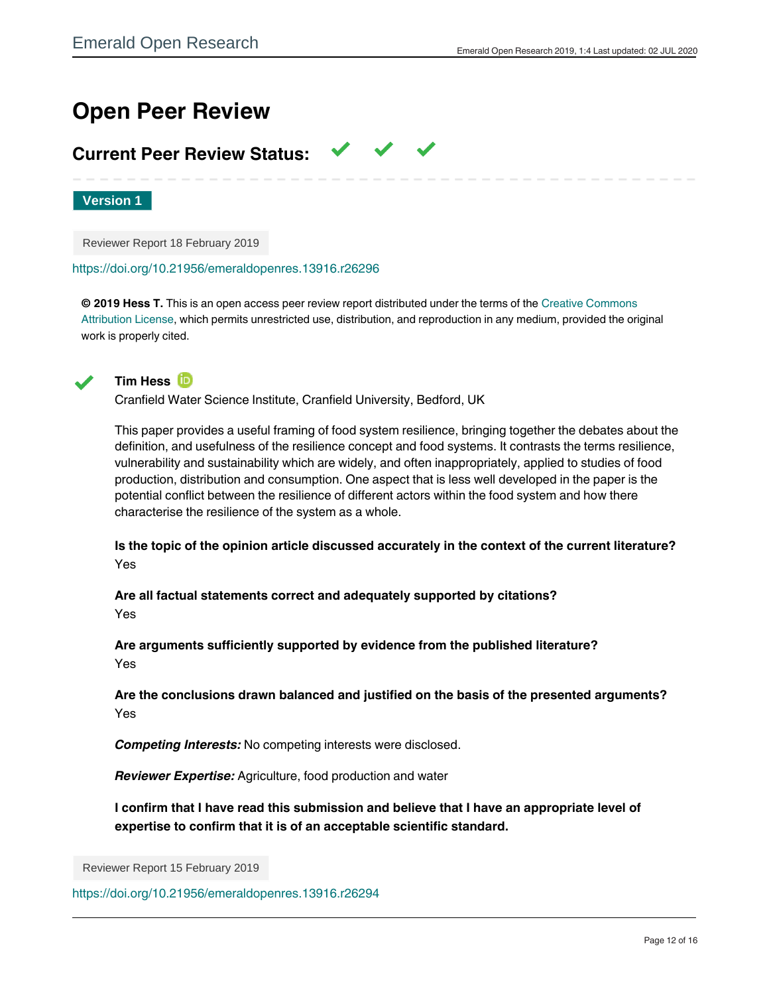# **Open Peer Review**

# **Current Peer Review Status:**

**Version 1**

Reviewer Report 18 February 2019

<https://doi.org/10.21956/emeraldopenres.13916.r26296>

**© 2019 Hess T.** This is an open access peer review report distributed under the terms of the [Creative Commons](https://creativecommons.org/licenses/by/4.0/) [Attribution License](https://creativecommons.org/licenses/by/4.0/), which permits unrestricted use, distribution, and reproduction in any medium, provided the original work is properly cited.

 $\checkmark$   $\checkmark$   $\checkmark$ 



**Tim Hess**

Cranfield Water Science Institute, Cranfield University, Bedford, UK

This paper provides a useful framing of food system resilience, bringing together the debates about the definition, and usefulness of the resilience concept and food systems. It contrasts the terms resilience, vulnerability and sustainability which are widely, and often inappropriately, applied to studies of food production, distribution and consumption. One aspect that is less well developed in the paper is the potential conflict between the resilience of different actors within the food system and how there characterise the resilience of the system as a whole.

**Is the topic of the opinion article discussed accurately in the context of the current literature?** Yes

**Are all factual statements correct and adequately supported by citations?** Yes

**Are arguments sufficiently supported by evidence from the published literature?** Yes

**Are the conclusions drawn balanced and justified on the basis of the presented arguments?** Yes

*Competing Interests:* No competing interests were disclosed.

*Reviewer Expertise:* Agriculture, food production and water

**I confirm that I have read this submission and believe that I have an appropriate level of expertise to confirm that it is of an acceptable scientific standard.**

Reviewer Report 15 February 2019

<https://doi.org/10.21956/emeraldopenres.13916.r26294>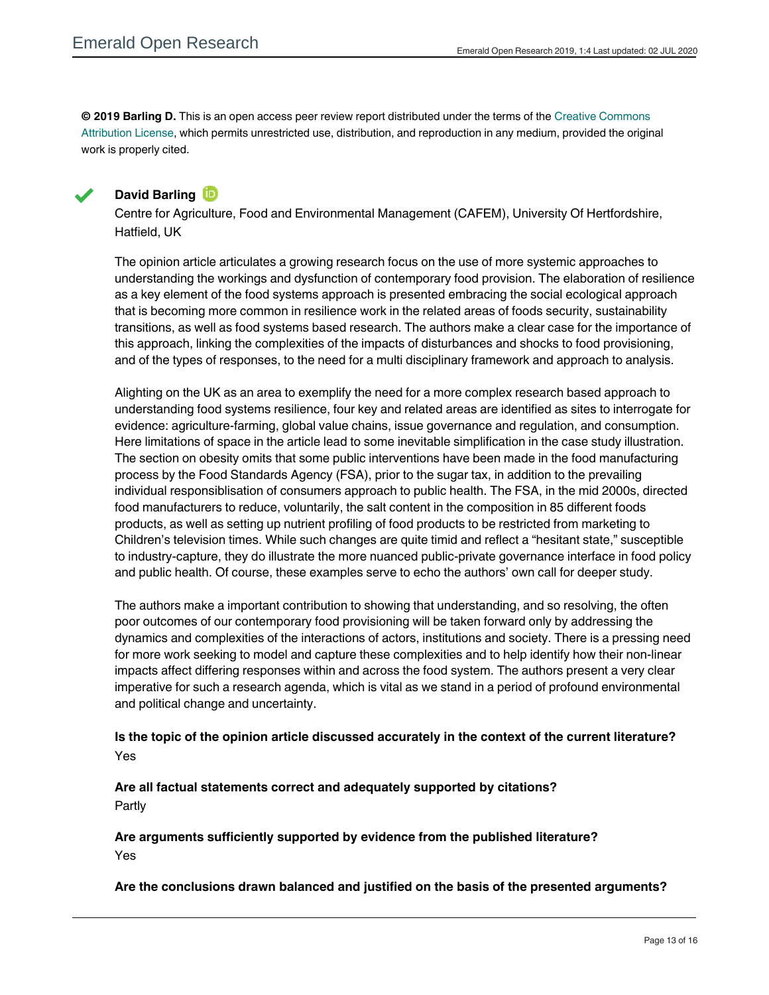**© 2019 Barling D.** This is an open access peer review report distributed under the terms of the [Creative Commons](https://creativecommons.org/licenses/by/4.0/) [Attribution License](https://creativecommons.org/licenses/by/4.0/), which permits unrestricted use, distribution, and reproduction in any medium, provided the original work is properly cited.



Yes

# **David Barling**

Centre for Agriculture, Food and Environmental Management (CAFEM), University Of Hertfordshire, Hatfield, UK

The opinion article articulates a growing research focus on the use of more systemic approaches to understanding the workings and dysfunction of contemporary food provision. The elaboration of resilience as a key element of the food systems approach is presented embracing the social ecological approach that is becoming more common in resilience work in the related areas of foods security, sustainability transitions, as well as food systems based research. The authors make a clear case for the importance of this approach, linking the complexities of the impacts of disturbances and shocks to food provisioning, and of the types of responses, to the need for a multi disciplinary framework and approach to analysis.

Alighting on the UK as an area to exemplify the need for a more complex research based approach to understanding food systems resilience, four key and related areas are identified as sites to interrogate for evidence: agriculture-farming, global value chains, issue governance and regulation, and consumption. Here limitations of space in the article lead to some inevitable simplification in the case study illustration. The section on obesity omits that some public interventions have been made in the food manufacturing process by the Food Standards Agency (FSA), prior to the sugar tax, in addition to the prevailing individual responsiblisation of consumers approach to public health. The FSA, in the mid 2000s, directed food manufacturers to reduce, voluntarily, the salt content in the composition in 85 different foods products, as well as setting up nutrient profiling of food products to be restricted from marketing to Children's television times. While such changes are quite timid and reflect a "hesitant state," susceptible to industry-capture, they do illustrate the more nuanced public-private governance interface in food policy and public health. Of course, these examples serve to echo the authors' own call for deeper study.

The authors make a important contribution to showing that understanding, and so resolving, the often poor outcomes of our contemporary food provisioning will be taken forward only by addressing the dynamics and complexities of the interactions of actors, institutions and society. There is a pressing need for more work seeking to model and capture these complexities and to help identify how their non-linear impacts affect differing responses within and across the food system. The authors present a very clear imperative for such a research agenda, which is vital as we stand in a period of profound environmental and political change and uncertainty.

# **Is the topic of the opinion article discussed accurately in the context of the current literature?** Yes

**Are all factual statements correct and adequately supported by citations?** Partly

**Are arguments sufficiently supported by evidence from the published literature?** Yes

**Are the conclusions drawn balanced and justified on the basis of the presented arguments?**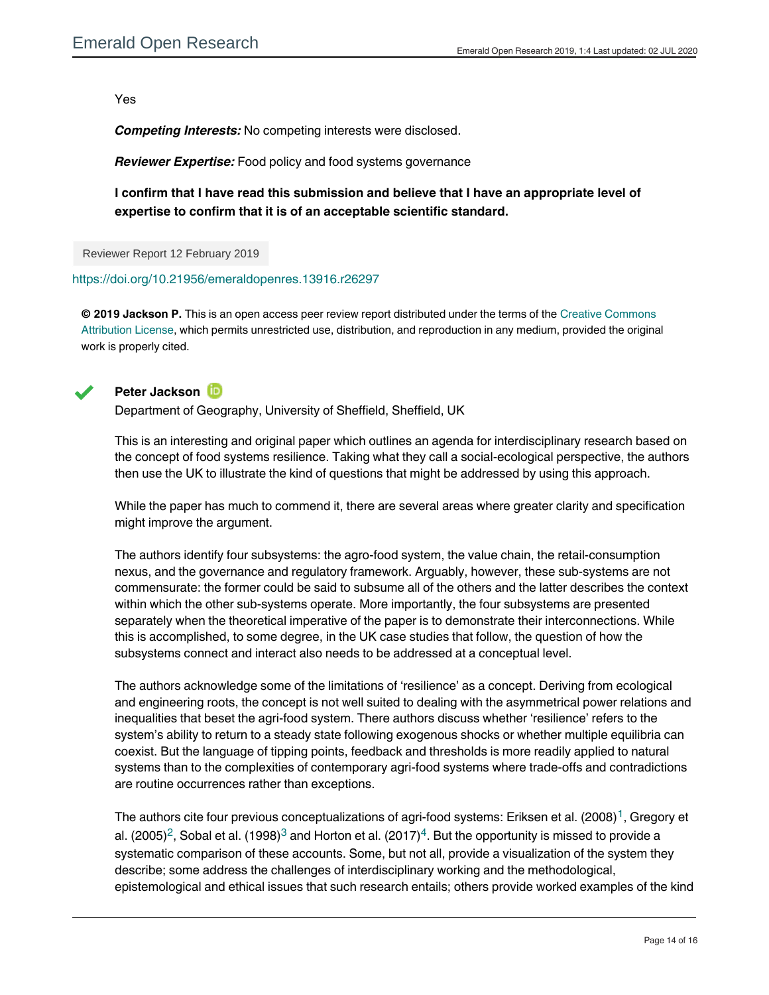Yes

*Competing Interests:* No competing interests were disclosed.

*Reviewer Expertise:* Food policy and food systems governance

**I confirm that I have read this submission and believe that I have an appropriate level of expertise to confirm that it is of an acceptable scientific standard.**

Reviewer Report 12 February 2019

<https://doi.org/10.21956/emeraldopenres.13916.r26297>

**© 2019 Jackson P.** This is an open access peer review report distributed under the terms of the [Creative Commons](https://creativecommons.org/licenses/by/4.0/) [Attribution License](https://creativecommons.org/licenses/by/4.0/), which permits unrestricted use, distribution, and reproduction in any medium, provided the original work is properly cited.



# **Peter Jackson**

Department of Geography, University of Sheffield, Sheffield, UK

This is an interesting and original paper which outlines an agenda for interdisciplinary research based on the concept of food systems resilience. Taking what they call a social-ecological perspective, the authors then use the UK to illustrate the kind of questions that might be addressed by using this approach.

While the paper has much to commend it, there are several areas where greater clarity and specification might improve the argument.

The authors identify four subsystems: the agro-food system, the value chain, the retail-consumption nexus, and the governance and regulatory framework. Arguably, however, these sub-systems are not commensurate: the former could be said to subsume all of the others and the latter describes the context within which the other sub-systems operate. More importantly, the four subsystems are presented separately when the theoretical imperative of the paper is to demonstrate their interconnections. While this is accomplished, to some degree, in the UK case studies that follow, the question of how the subsystems connect and interact also needs to be addressed at a conceptual level.

The authors acknowledge some of the limitations of 'resilience' as a concept. Deriving from ecological and engineering roots, the concept is not well suited to dealing with the asymmetrical power relations and inequalities that beset the agri-food system. There authors discuss whether 'resilience' refers to the system's ability to return to a steady state following exogenous shocks or whether multiple equilibria can coexist. But the language of tipping points, feedback and thresholds is more readily applied to natural systems than to the complexities of contemporary agri-food systems where trade-offs and contradictions are routine occurrences rather than exceptions.

The authors cite four previous conceptualizations of agri-food systems: Eriksen et al. (2008)<sup>[1](#page-14-0)</sup>, Gregory et al. ([2](#page-14-1)005)<sup>2</sup>, Sobal et al. (1998) $^3$  $^3$  and Horton et al. (2017) $^4$  $^4$ . But the opportunity is missed to provide a systematic comparison of these accounts. Some, but not all, provide a visualization of the system they describe; some address the challenges of interdisciplinary working and the methodological, epistemological and ethical issues that such research entails; others provide worked examples of the kind

of integrated thinking that is required to achieve a healthier and more sustainable agri-food system. Some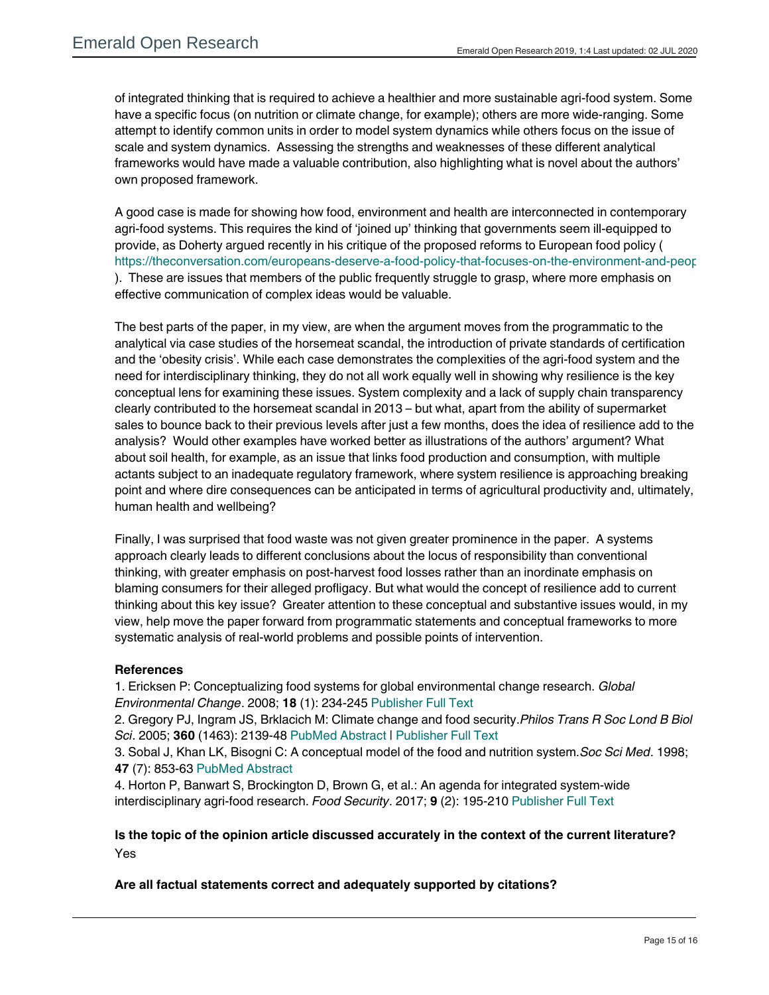of integrated thinking that is required to achieve a healthier and more sustainable agri-food system. Some have a specific focus (on nutrition or climate change, for example); others are more wide-ranging. Some attempt to identify common units in order to model system dynamics while others focus on the issue of scale and system dynamics. Assessing the strengths and weaknesses of these different analytical frameworks would have made a valuable contribution, also highlighting what is novel about the authors' own proposed framework.

A good case is made for showing how food, environment and health are interconnected in contemporary agri-food systems. This requires the kind of 'joined up' thinking that governments seem ill-equipped to provide, as Doherty argued recently in his critique of the proposed reforms to European food policy ( https://theconversation.com/europeans-deserve-a-food-policy-that-focuses-on-the-environment-and-peop ). These are issues that members of the public frequently struggle to grasp, where more emphasis on effective communication of complex ideas would be valuable.

The best parts of the paper, in my view, are when the argument moves from the programmatic to the analytical via case studies of the horsemeat scandal, the introduction of private standards of certification and the 'obesity crisis'. While each case demonstrates the complexities of the agri-food system and the need for interdisciplinary thinking, they do not all work equally well in showing why resilience is the key conceptual lens for examining these issues. System complexity and a lack of supply chain transparency clearly contributed to the horsemeat scandal in 2013 – but what, apart from the ability of supermarket sales to bounce back to their previous levels after just a few months, does the idea of resilience add to the analysis? Would other examples have worked better as illustrations of the authors' argument? What about soil health, for example, as an issue that links food production and consumption, with multiple actants subject to an inadequate regulatory framework, where system resilience is approaching breaking point and where dire consequences can be anticipated in terms of agricultural productivity and, ultimately, human health and wellbeing?

Finally, I was surprised that food waste was not given greater prominence in the paper. A systems approach clearly leads to different conclusions about the locus of responsibility than conventional thinking, with greater emphasis on post-harvest food losses rather than an inordinate emphasis on blaming consumers for their alleged profligacy. But what would the concept of resilience add to current thinking about this key issue? Greater attention to these conceptual and substantive issues would, in my view, help move the paper forward from programmatic statements and conceptual frameworks to more systematic analysis of real-world problems and possible points of intervention.

# **References**

Yes

<span id="page-14-0"></span>1. Ericksen P: Conceptualizing food systems for global environmental change research. *Global Environmental Change*. 2008; **18** (1): 234-245 [Publisher Full Text](https://doi.org/10.1016/j.gloenvcha.2007.09.002)

<span id="page-14-1"></span>2. Gregory PJ, Ingram JS, Brklacich M: Climate change and food security.*Philos Trans R Soc Lond B Biol Sci*. 2005; **360** (1463): 2139-48 [PubMed Abstract](http://www.ncbi.nlm.nih.gov/pubmed/16433099) | [Publisher Full Text](https://doi.org/10.1098/rstb.2005.1745)

<span id="page-14-2"></span>3. Sobal J, Khan LK, Bisogni C: A conceptual model of the food and nutrition system.*Soc Sci Med*. 1998; **47** (7): 853-63 [PubMed Abstract](http://www.ncbi.nlm.nih.gov/pubmed/9722106)

<span id="page-14-3"></span>4. Horton P, Banwart S, Brockington D, Brown G, et al.: An agenda for integrated system-wide interdisciplinary agri-food research. *Food Security*. 2017; **9** (2): 195-210 [Publisher Full Text](https://doi.org/10.1007/s12571-017-0648-4)

# **Is the topic of the opinion article discussed accurately in the context of the current literature?** Yes

# **Are all factual statements correct and adequately supported by citations?**